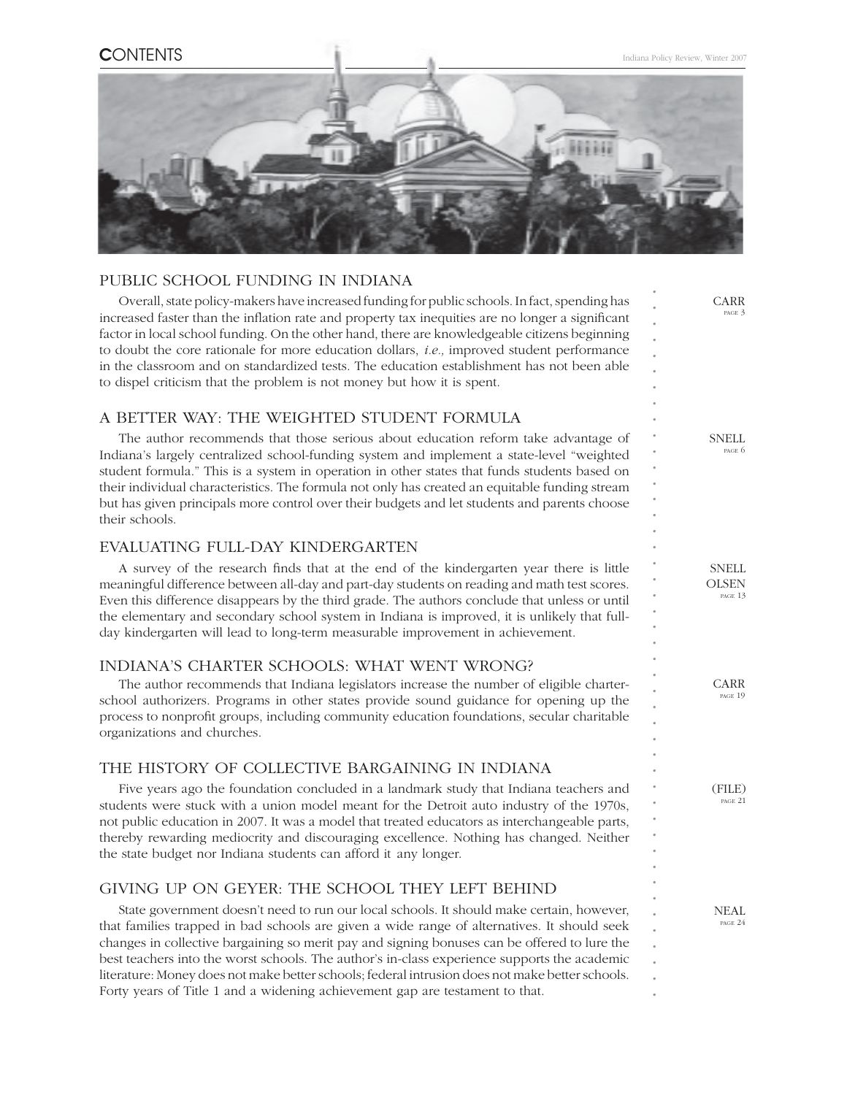

### PUBLIC SCHOOL FUNDING IN INDIANA

*. . . . . . . . . . . . . . . . . . . . . . . . . . . . . . . . . . . . . . . . . . . .* Overall, state policy-makers have increased funding for public schools. In fact, spending has increased faster than the inflation rate and property tax inequities are no longer a significant factor in local school funding. On the other hand, there are knowledgeable citizens beginning to doubt the core rationale for more education dollars, *i.e.,* improved student performance in the classroom and on standardized tests. The education establishment has not been able to dispel criticism that the problem is not money but how it is spent. A BETTER WAY: THE WEIGHTED STUDENT FORMULA The author recommends that those serious about education reform take advantage of Indiana's largely centralized school-funding system and implement a state-level "weighted student formula." This is a system in operation in other states that funds students based on their individual characteristics. The formula not only has created an equitable funding stream but has given principals more control over their budgets and let students and parents choose their schools. EVALUATING FULL-DAY KINDERGARTEN A survey of the research finds that at the end of the kindergarten year there is little meaningful difference between all-day and part-day students on reading and math test scores. Even this difference disappears by the third grade. The authors conclude that unless or until the elementary and secondary school system in Indiana is improved, it is unlikely that fullday kindergarten will lead to long-term measurable improvement in achievement. INDIANA'S CHARTER SCHOOLS: WHAT WENT WRONG? The author recommends that Indiana legislators increase the number of eligible charterschool authorizers. Programs in other states provide sound guidance for opening up the process to nonprofit groups, including community education foundations, secular charitable organizations and churches. THE HISTORY OF COLLECTIVE BARGAINING IN INDIANA Five years ago the foundation concluded in a landmark study that Indiana teachers and students were stuck with a union model meant for the Detroit auto industry of the 1970s, not public education in 2007. It was a model that treated educators as interchangeable parts, thereby rewarding mediocrity and discouraging excellence. Nothing has changed. Neither the state budget nor Indiana students can afford it any longer. GIVING UP ON GEYER: THE SCHOOL THEY LEFT BEHIND State government doesn't need to run our local schools. It should make certain, however, that families trapped in bad schools are given a wide range of alternatives. It should seek changes in collective bargaining so merit pay and signing bonuses can be offered to lure the best teachers into the worst schools. The author's in-class experience supports the academic literature: Money does not make better schools; federal intrusion does not make better schools. CARR PAGE 3 **SNELL** PAGE 6 CARR PAGE 19 NEAL PAGE 24 SNELL **OLSEN** PAGE 13 (FILE) PAGE 21

Forty years of Title 1 and a widening achievement gap are testament to that.

*.*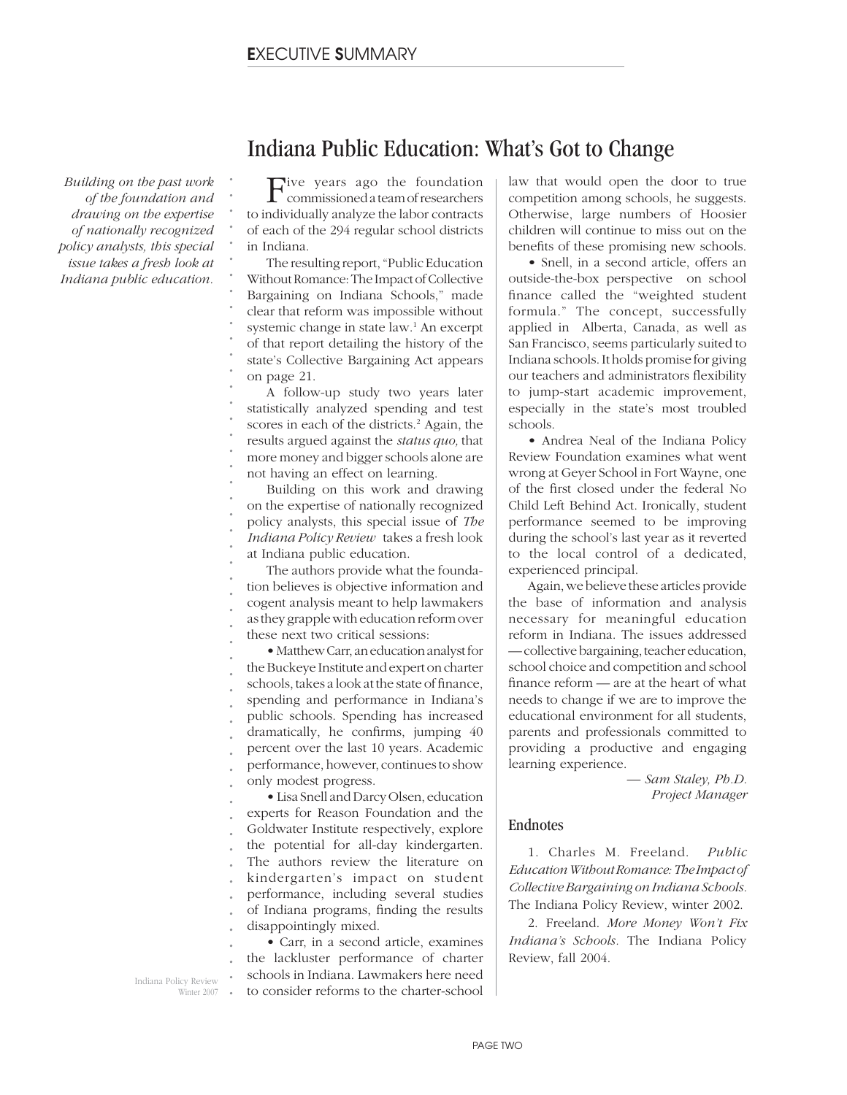*Building on the past work of the foundation and drawing on the expertise of nationally recognized policy analysts, this special issue takes a fresh look at Indiana public education.*

*. . . . . . . . . . . . . . . . . . . . . . . . . . . . . . . . . . . . . .*

Five years ago the foundation commissioned a team of researchers to individually analyze the labor contracts of each of the 294 regular school districts in Indiana.

Indiana Public Education: What's Got to Change

The resulting report, "Public Education Without Romance: The Impact of Collective Bargaining on Indiana Schools," made clear that reform was impossible without systemic change in state law.<sup>1</sup> An excerpt of that report detailing the history of the state's Collective Bargaining Act appears on page 21.

A follow-up study two years later statistically analyzed spending and test scores in each of the districts.<sup>2</sup> Again, the results argued against the *status quo,* that more money and bigger schools alone are not having an effect on learning.

Building on this work and drawing on the expertise of nationally recognized policy analysts, this special issue of *The Indiana Policy Review* takes a fresh look at Indiana public education.

The authors provide what the foundation believes is objective information and cogent analysis meant to help lawmakers as they grapple with education reform over these next two critical sessions:

• Matthew Carr, an education analyst for the Buckeye Institute and expert on charter schools, takes a look at the state of finance, spending and performance in Indiana's public schools. Spending has increased dramatically, he confirms, jumping  $40$ percent over the last 10 years. Academic performance, however, continues to show only modest progress.

*. . . . . . . . . . .* • Lisa Snell and Darcy Olsen, education experts for Reason Foundation and the Goldwater Institute respectively, explore the potential for all-day kindergarten. The authors review the literature on kindergarten's impact on student performance, including several studies of Indiana programs, finding the results disappointingly mixed.

• Carr, in a second article, examines the lackluster performance of charter schools in Indiana. Lawmakers here need to consider reforms to the charter-school

law that would open the door to true competition among schools, he suggests. Otherwise, large numbers of Hoosier children will continue to miss out on the benefits of these promising new schools.

• Snell, in a second article, offers an outside-the-box perspective on school finance called the "weighted student formula." The concept, successfully applied in Alberta, Canada, as well as San Francisco, seems particularly suited to Indiana schools. It holds promise for giving our teachers and administrators flexibility to jump-start academic improvement, especially in the state's most troubled schools.

• Andrea Neal of the Indiana Policy Review Foundation examines what went wrong at Geyer School in Fort Wayne, one of the first closed under the federal No Child Left Behind Act. Ironically, student performance seemed to be improving during the school's last year as it reverted to the local control of a dedicated, experienced principal.

Again, we believe these articles provide the base of information and analysis necessary for meaningful education reform in Indiana. The issues addressed — collective bargaining, teacher education, school choice and competition and school finance reform  $\rightharpoonup$  are at the heart of what needs to change if we are to improve the educational environment for all students, parents and professionals committed to providing a productive and engaging learning experience.

> *— Sam Staley, Ph.D. Project Manager*

### Endnotes

1. Charles M. Freeland. *Public Education Without Romance: The Impact of Collective Bargaining on Indiana Schools.* The Indiana Policy Review, winter 2002.

2. Freeland. *More Money Won't Fix Indiana's Schools.* The Indiana Policy Review, fall 2004.

Indiana Policy Review Winter 2007 *. . .*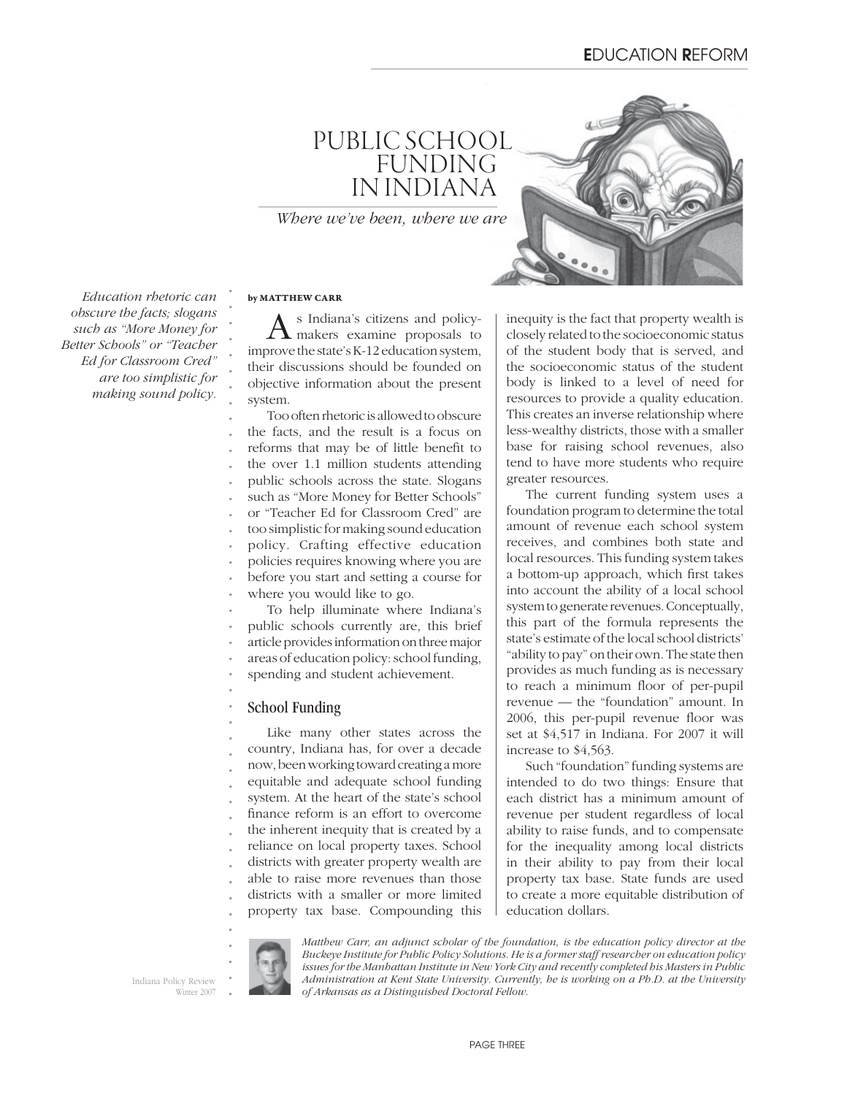# PUBLIC SCHOOL FUNDING IN INDIANA

*Where we've been, where we are* 

*Education rhetoric can obscure the facts; slogans such as "More Money for Better Schools" or "Teacher Ed for Classroom Cred" are too simplistic for making sound policy.* 

### **by MATTHEW CARR**

As Indiana's citizens and policy-makers examine proposals to improve the state's K-12 education system, their discussions should be founded on objective information about the present system.

Too often rhetoric is allowed to obscure the facts, and the result is a focus on reforms that may be of little benefit to the over 1.1 million students attending public schools across the state. Slogans such as "More Money for Better Schools" or "Teacher Ed for Classroom Cred" are too simplistic for making sound education policy. Crafting effective education policies requires knowing where you are before you start and setting a course for where you would like to go. To help illuminate where Indiana's public schools currently are, this brief

article provides information on three major

areas of education policy: school funding,

spending and student achievement.

### School Funding

Like many other states across the country, Indiana has, for over a decade now, been working toward creating a more equitable and adequate school funding system. At the heart of the state's school finance reform is an effort to overcome the inherent inequity that is created by a reliance on local property taxes. School districts with greater property wealth are able to raise more revenues than those districts with a smaller or more limited property tax base. Compounding this inequity is the fact that property wealth is closely related to the socioeconomic status of the student body that is served, and the socioeconomic status of the student body is linked to a level of need for resources to provide a quality education. This creates an inverse relationship where less-wealthy districts, those with a smaller base for raising school revenues, also tend to have more students who require greater resources.

The current funding system uses a foundation program to determine the total amount of revenue each school system receives, and combines both state and local resources. This funding system takes a bottom-up approach, which first takes into account the ability of a local school system to generate revenues. Conceptually, this part of the formula represents the state's estimate of the local school districts' "ability to pay" on their own. The state then provides as much funding as is necessary to reach a minimum floor of per-pupil revenue — the "foundation" amount. In 2006, this per-pupil revenue floor was set at \$4,517 in Indiana. For 2007 it will increase to \$4,563.

Such "foundation" funding systems are intended to do two things: Ensure that each district has a minimum amount of revenue per student regardless of local ability to raise funds, and to compensate for the inequality among local districts in their ability to pay from their local property tax base. State funds are used to create a more equitable distribution of education dollars.

Indiana Policy Review Winter 2007



*. . . . .*

*Matthew Carr, an adjunct scholar of the foundation, is the education policy director at the Buckeye Institute for Public Policy Solutions. He is a former staff researcher on education policy issues for the Manhattan Institute in New York City and recently completed his Masters in Public Administration at Kent State University. Currently, he is working on a Ph.D. at the University of Arkansas as a Distinguished Doctoral Fellow.*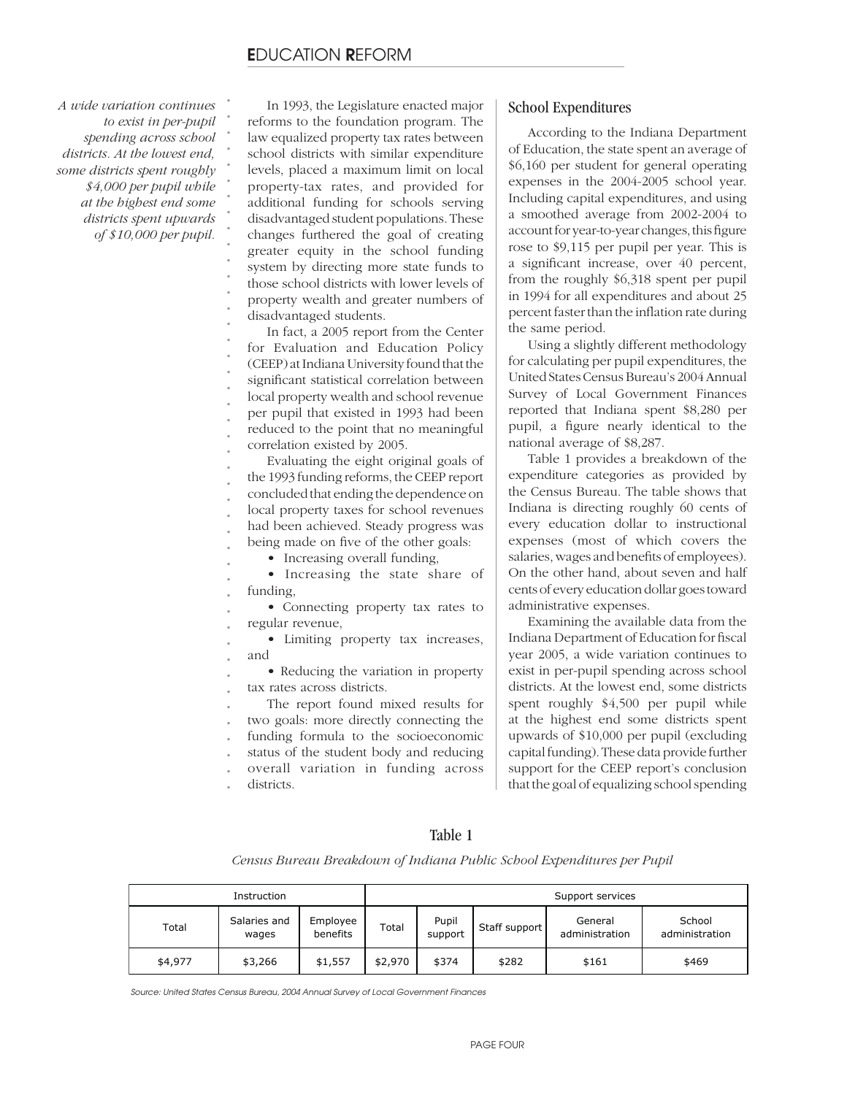*A wide variation continues to exist in per-pupil spending across school districts. At the lowest end, some districts spent roughly \$4,000 per pupil while at the highest end some districts spent upwards of \$10,000 per pupil.*

In 1993, the Legislature enacted major reforms to the foundation program. The law equalized property tax rates between school districts with similar expenditure levels, placed a maximum limit on local property-tax rates, and provided for additional funding for schools serving disadvantaged student populations. These changes furthered the goal of creating greater equity in the school funding system by directing more state funds to those school districts with lower levels of property wealth and greater numbers of disadvantaged students.

In fact, a 2005 report from the Center for Evaluation and Education Policy (CEEP) at Indiana University found that the significant statistical correlation between local property wealth and school revenue per pupil that existed in 1993 had been reduced to the point that no meaningful correlation existed by 2005.

Evaluating the eight original goals of the 1993 funding reforms, the CEEP report concluded that ending the dependence on local property taxes for school revenues had been achieved. Steady progress was being made on five of the other goals:

• Increasing overall funding,

• Increasing the state share of funding,

• Connecting property tax rates to regular revenue,

• Limiting property tax increases, and

• Reducing the variation in property tax rates across districts.

The report found mixed results for two goals: more directly connecting the funding formula to the socioeconomic status of the student body and reducing

overall variation in funding across

districts.

### School Expenditures

According to the Indiana Department of Education, the state spent an average of \$6,160 per student for general operating expenses in the 2004-2005 school year. Including capital expenditures, and using a smoothed average from 2002-2004 to account for year-to-year changes, this figure rose to \$9,115 per pupil per year. This is a significant increase, over 40 percent, from the roughly \$6,318 spent per pupil in 1994 for all expenditures and about 25 percent faster than the inflation rate during the same period.

Using a slightly different methodology for calculating per pupil expenditures, the United States Census Bureau's 2004 Annual Survey of Local Government Finances reported that Indiana spent \$8,280 per pupil, a figure nearly identical to the national average of \$8,287.

Table 1 provides a breakdown of the expenditure categories as provided by the Census Bureau. The table shows that Indiana is directing roughly 60 cents of every education dollar to instructional expenses (most of which covers the salaries, wages and benefits of employees). On the other hand, about seven and half cents of every education dollar goes toward administrative expenses.

Examining the available data from the Indiana Department of Education for fiscal year 2005, a wide variation continues to exist in per-pupil spending across school districts. At the lowest end, some districts spent roughly \$4,500 per pupil while at the highest end some districts spent upwards of \$10,000 per pupil (excluding capital funding). These data provide further support for the CEEP report's conclusion that the goal of equalizing school spending

### Table 1

*Census Bureau Breakdown of Indiana Public School Expenditures per Pupil*

|         | Support services      |                      |         |                  |               |                           |                          |
|---------|-----------------------|----------------------|---------|------------------|---------------|---------------------------|--------------------------|
| Total   | Salaries and<br>wages | Employee<br>benefits | Total   | Pupil<br>support | Staff support | General<br>administration | School<br>administration |
| \$4,977 | \$3,266               | \$1,557              | \$2,970 | \$374            | \$282         | \$161                     | \$469                    |

*Source: United States Census Bureau, 2004 Annual Survey of Local Government Finances*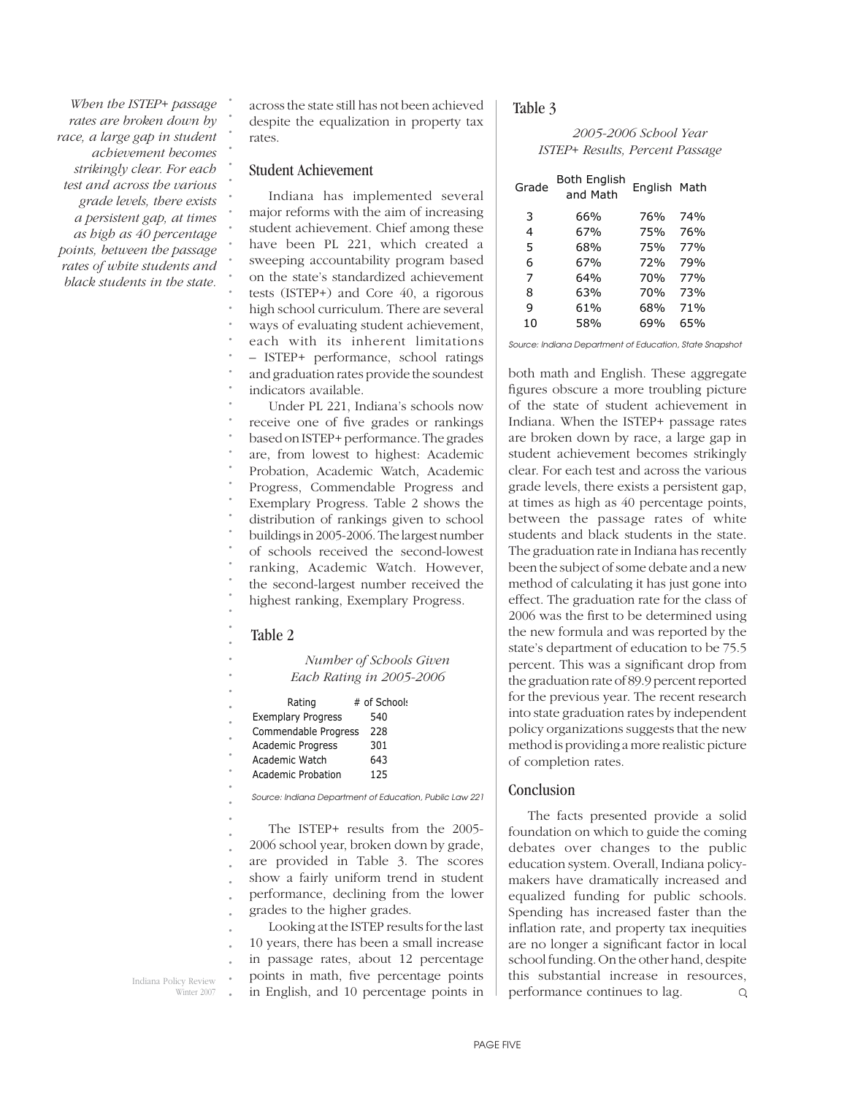*When the ISTEP+ passage rates are broken down by race, a large gap in student achievement becomes strikingly clear. For each test and across the various grade levels, there exists a persistent gap, at times as high as 40 percentage points, between the passage rates of white students and black students in the state.* 

across the state still has not been achieved despite the equalization in property tax rates.

### Student Achievement

*. . . . . . . . . . . . . . . . . . .*

Indiana has implemented several major reforms with the aim of increasing student achievement. Chief among these have been PL 221, which created a sweeping accountability program based on the state's standardized achievement tests (ISTEP+) and Core 40, a rigorous high school curriculum. There are several ways of evaluating student achievement, each with its inherent limitations – ISTEP+ performance, school ratings and graduation rates provide the soundest indicators available.

*. . . . . . . . . . . . . .* Under PL 221, Indiana's schools now receive one of five grades or rankings based on ISTEP+ performance. The grades are, from lowest to highest: Academic Probation, Academic Watch, Academic Progress, Commendable Progress and Exemplary Progress. Table 2 shows the distribution of rankings given to school buildings in 2005-2006. The largest number of schools received the second-lowest ranking, Academic Watch. However, the second-largest number received the highest ranking, Exemplary Progress.

#### Table 2

*. . . . . . . . . . . . . . . . . . .*

*Number of Schools Given Each Rating in 2005-2006*

| Rating                    | # of Schools |  |
|---------------------------|--------------|--|
| <b>Exemplary Progress</b> | 540          |  |
| Commendable Progress      | 228          |  |
| <b>Academic Progress</b>  | 301          |  |
| Academic Watch            | 643          |  |
| Academic Probation        | 125          |  |

*Source: Indiana Department of Education, Public Law 221*

The ISTEP+ results from the 2005- 2006 school year, broken down by grade, are provided in Table 3. The scores show a fairly uniform trend in student performance, declining from the lower grades to the higher grades.

*. . . . .* Looking at the ISTEP results for the last 10 years, there has been a small increase in passage rates, about 12 percentage points in math, five percentage points in English, and 10 percentage points in

Indiana Policy Review Winter 2007

### Table 3

*2005-2006 School Year ISTEP+ Results, Percent Passage*

| Grade | Both English<br>and Math | English Math    |     |  |  |
|-------|--------------------------|-----------------|-----|--|--|
| 3     | 66%                      | 76%             | 74% |  |  |
| 4     | 67%                      | 75%             | 76% |  |  |
| 5     | 68%                      | 75%             | 77% |  |  |
| 6     | 67 <sub>%</sub>          | 72%             | 79% |  |  |
| 7     | 64%                      | 70 <sub>%</sub> | 77% |  |  |
| 8     | 63%                      | 70%             | 73% |  |  |
| 9     | 61%                      | 68%             | 71% |  |  |
| 10    | 58%                      | 69%             | 65% |  |  |
|       |                          |                 |     |  |  |

*Source: Indiana Department of Education, State Snapshot*

both math and English. These aggregate figures obscure a more troubling picture of the state of student achievement in Indiana. When the ISTEP+ passage rates are broken down by race, a large gap in student achievement becomes strikingly clear. For each test and across the various grade levels, there exists a persistent gap, at times as high as 40 percentage points, between the passage rates of white students and black students in the state. The graduation rate in Indiana has recently been the subject of some debate and a new method of calculating it has just gone into effect. The graduation rate for the class of 2006 was the first to be determined using the new formula and was reported by the state's department of education to be 75.5 percent. This was a significant drop from the graduation rate of 89.9 percent reported for the previous year. The recent research into state graduation rates by independent policy organizations suggests that the new method is providing a more realistic picture of completion rates.

### Conclusion

The facts presented provide a solid foundation on which to guide the coming debates over changes to the public education system. Overall, Indiana policymakers have dramatically increased and equalized funding for public schools. Spending has increased faster than the inflation rate, and property tax inequities are no longer a significant factor in local school funding. On the other hand, despite this substantial increase in resources, performance continues to lag.  $\mathsf Q$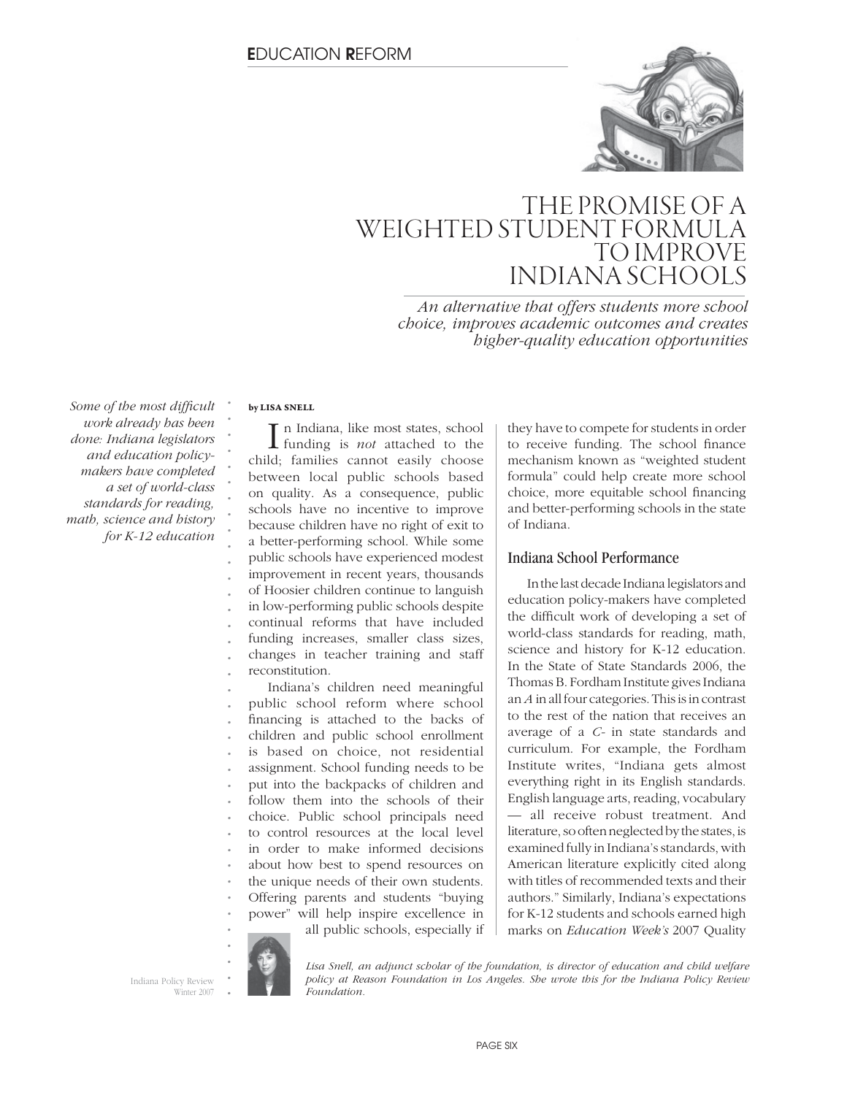

## THE PROMISE OF A WEIGHTED STUDENT FORMULA TO IMPROVE INDIANA SCHOOLS

*An alternative that offers students more school choice, improves academic outcomes and creates higher-quality education opportunities*

Some of the most difficult *work already has been done: Indiana legislators and education policymakers have completed a set of world-class standards for reading, math, science and history for K-12 education*

### **by LISA SNELL**

*. . . . . . . . . . . . . . . . . . . . . . . . . . . . . .*

In Indiana, like most states, school<br>funding is *not* attached to the n Indiana, like most states, school child; families cannot easily choose between local public schools based on quality. As a consequence, public schools have no incentive to improve because children have no right of exit to a better-performing school. While some public schools have experienced modest improvement in recent years, thousands of Hoosier children continue to languish in low-performing public schools despite continual reforms that have included funding increases, smaller class sizes, changes in teacher training and staff reconstitution. Indiana's children need meaningful public school reform where school financing is attached to the backs of children and public school enrollment is based on choice, not residential assignment. School funding needs to be put into the backpacks of children and follow them into the schools of their choice. Public school principals need to control resources at the local level in order to make informed decisions about how best to spend resources on

*. . . .* the unique needs of their own students. Offering parents and students "buying power" will help inspire excellence in all public schools, especially if they have to compete for students in order to receive funding. The school finance mechanism known as "weighted student formula" could help create more school choice, more equitable school financing and better-performing schools in the state of Indiana.

### Indiana School Performance

In the last decade Indiana legislators and education policy-makers have completed the difficult work of developing a set of world-class standards for reading, math, science and history for K-12 education. In the State of State Standards 2006, the Thomas B. Fordham Institute gives Indiana an *A* in all four categories. This is in contrast to the rest of the nation that receives an average of a *C-* in state standards and curriculum. For example, the Fordham Institute writes, "Indiana gets almost everything right in its English standards. English language arts, reading, vocabulary — all receive robust treatment. And literature, so often neglected by the states, is examined fully in Indiana's standards, with American literature explicitly cited along with titles of recommended texts and their authors." Similarly, Indiana's expectations for K-12 students and schools earned high marks on *Education Week's* 2007 Quality



Indiana Policy Review Winter 2007 *Lisa Snell, an adjunct scholar of the foundation, is director of education and child welfare policy at Reason Foundation in Los Angeles. She wrote this for the Indiana Policy Review Foundation.*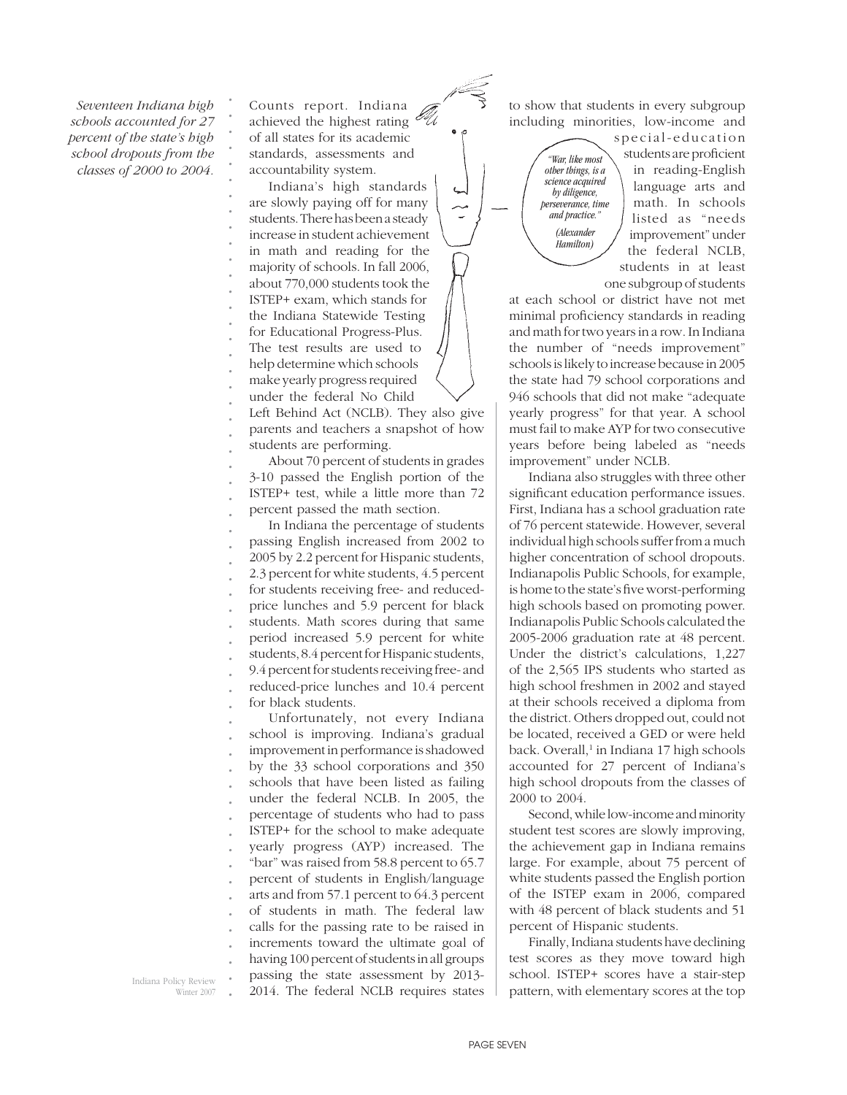*Seventeen Indiana high schools accounted for 27 percent of the state's high school dropouts from the classes of 2000 to 2004.*  *. . . . . . . . . . . . . . . . . .*

*. . .* Counts report. Indiana achieved the highest rating  $\epsilon$ of all states for its academic standards, assessments and accountability system.

Indiana's high standards are slowly paying off for many students. There has been a steady increase in student achievement in math and reading for the majority of schools. In fall 2006, about 770,000 students took the ISTEP+ exam, which stands for the Indiana Statewide Testing for Educational Progress-Plus. The test results are used to help determine which schools make yearly progress required

*. .* under the federal No Child

*. . .* Left Behind Act (NCLB). They also give parents and teachers a snapshot of how students are performing.

About 70 percent of students in grades 3-10 passed the English portion of the ISTEP+ test, while a little more than 72 percent passed the math section.

*. . . . . . . . . . . . .* In Indiana the percentage of students passing English increased from 2002 to 2005 by 2.2 percent for Hispanic students, 2.3 percent for white students, 4.5 percent for students receiving free- and reducedprice lunches and 5.9 percent for black students. Math scores during that same period increased 5.9 percent for white students, 8.4 percent for Hispanic students, 9.4 percent for students receiving free- and reduced-price lunches and 10.4 percent for black students.

*. . . . . . . . . . . . . . . . . .* Unfortunately, not every Indiana school is improving. Indiana's gradual improvement in performance is shadowed by the 33 school corporations and 350 schools that have been listed as failing under the federal NCLB. In 2005, the percentage of students who had to pass ISTEP+ for the school to make adequate yearly progress (AYP) increased. The "bar" was raised from 58.8 percent to 65.7 percent of students in English/language arts and from 57.1 percent to 64.3 percent of students in math. The federal law calls for the passing rate to be raised in increments toward the ultimate goal of having 100 percent of students in all groups passing the state assessment by 2013- 2014. The federal NCLB requires states

to show that students in every subgroup including minorities, low-income and

> *"War, like most other things, is a science acquired by diligence, perseverance, time and practice." (Alexander Hamilton)*

special-education students are proficient in reading-English language arts and math. In schools listed as "needs improvement" under the federal NCLB, students in at least one subgroup of students

at each school or district have not met minimal proficiency standards in reading and math for two years in a row. In Indiana the number of "needs improvement" schools is likely to increase because in 2005 the state had 79 school corporations and 946 schools that did not make "adequate yearly progress" for that year. A school must fail to make AYP for two consecutive years before being labeled as "needs improvement" under NCLB.

Indiana also struggles with three other significant education performance issues. First, Indiana has a school graduation rate of 76 percent statewide. However, several individual high schools suffer from a much higher concentration of school dropouts. Indianapolis Public Schools, for example, is home to the state's five worst-performing high schools based on promoting power. Indianapolis Public Schools calculated the 2005-2006 graduation rate at 48 percent. Under the district's calculations, 1,227 of the 2,565 IPS students who started as high school freshmen in 2002 and stayed at their schools received a diploma from the district. Others dropped out, could not be located, received a GED or were held back. Overall,<sup>1</sup> in Indiana 17 high schools accounted for 27 percent of Indiana's high school dropouts from the classes of 2000 to 2004.

Second, while low-income and minority student test scores are slowly improving, the achievement gap in Indiana remains large. For example, about 75 percent of white students passed the English portion of the ISTEP exam in 2006, compared with 48 percent of black students and 51 percent of Hispanic students.

Finally, Indiana students have declining test scores as they move toward high school. ISTEP+ scores have a stair-step pattern, with elementary scores at the top

Indiana Policy Review Winter 2007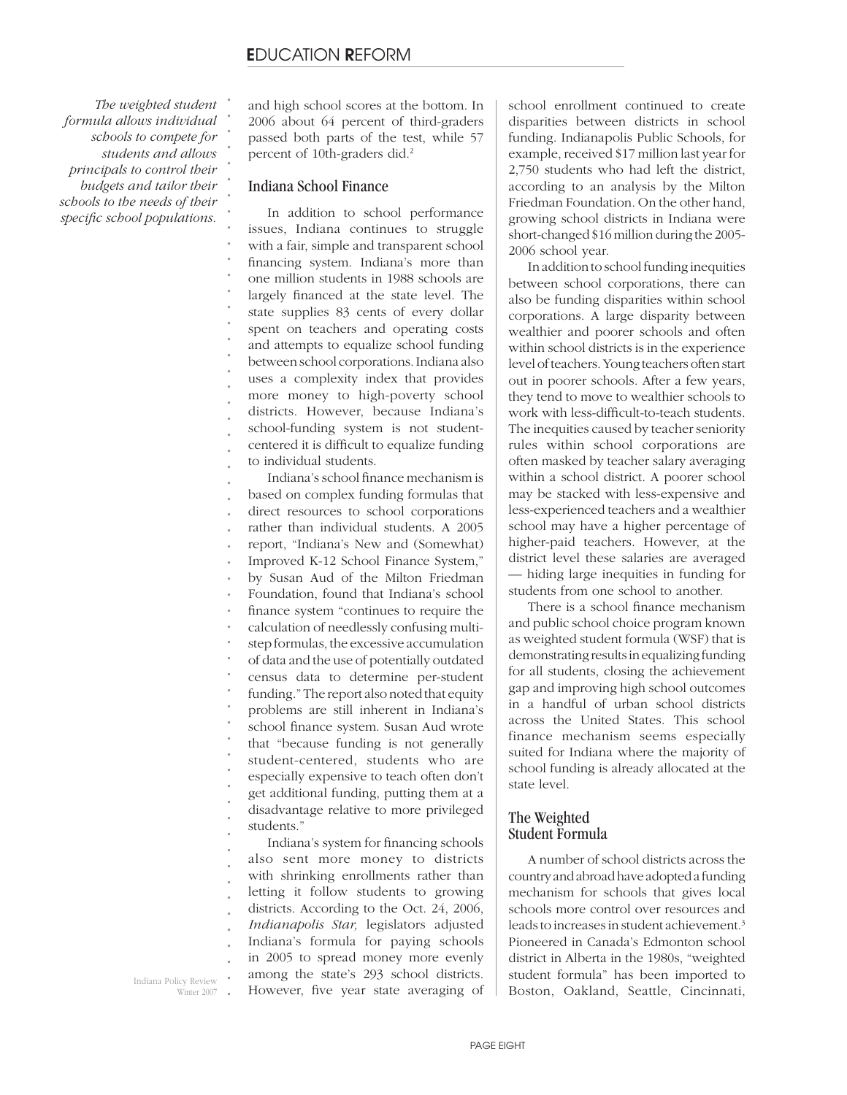*The weighted student formula allows individual schools to compete for students and allows principals to control their budgets and tailor their schools to the needs of their*  specific school populations.

*. . . . . . . . . . . . . . . . . . . . . . .*

and high school scores at the bottom. In 2006 about 64 percent of third-graders passed both parts of the test, while 57 percent of 10th-graders did.<sup>2</sup>

### Indiana School Finance

In addition to school performance issues, Indiana continues to struggle with a fair, simple and transparent school financing system. Indiana's more than one million students in 1988 schools are largely financed at the state level. The state supplies 83 cents of every dollar spent on teachers and operating costs and attempts to equalize school funding between school corporations. Indiana also uses a complexity index that provides more money to high-poverty school districts. However, because Indiana's school-funding system is not studentcentered it is difficult to equalize funding to individual students.

*. . . . . . . . . . . . . . . . . . . . . . . .* Indiana's school finance mechanism is based on complex funding formulas that direct resources to school corporations rather than individual students. A 2005 report, "Indiana's New and (Somewhat) Improved K-12 School Finance System," by Susan Aud of the Milton Friedman Foundation, found that Indiana's school finance system "continues to require the calculation of needlessly confusing multistep formulas, the excessive accumulation of data and the use of potentially outdated census data to determine per-student funding." The report also noted that equity problems are still inherent in Indiana's school finance system. Susan Aud wrote that "because funding is not generally student-centered, students who are especially expensive to teach often don't get additional funding, putting them at a disadvantage relative to more privileged students."

*. . . . . . . . .* Indiana's system for financing schools also sent more money to districts with shrinking enrollments rather than letting it follow students to growing districts. According to the Oct. 24, 2006, *Indianapolis Star,* legislators adjusted Indiana's formula for paying schools in 2005 to spread money more evenly among the state's 293 school districts. However, five year state averaging of school enrollment continued to create disparities between districts in school funding. Indianapolis Public Schools, for example, received \$17 million last year for 2,750 students who had left the district, according to an analysis by the Milton Friedman Foundation. On the other hand, growing school districts in Indiana were short-changed \$16 million during the 2005- 2006 school year.

In addition to school funding inequities between school corporations, there can also be funding disparities within school corporations. A large disparity between wealthier and poorer schools and often within school districts is in the experience level of teachers. Young teachers often start out in poorer schools. After a few years, they tend to move to wealthier schools to work with less-difficult-to-teach students. The inequities caused by teacher seniority rules within school corporations are often masked by teacher salary averaging within a school district. A poorer school may be stacked with less-expensive and less-experienced teachers and a wealthier school may have a higher percentage of higher-paid teachers. However, at the district level these salaries are averaged — hiding large inequities in funding for students from one school to another.

There is a school finance mechanism and public school choice program known as weighted student formula (WSF) that is demonstrating results in equalizing funding for all students, closing the achievement gap and improving high school outcomes in a handful of urban school districts across the United States. This school finance mechanism seems especially suited for Indiana where the majority of school funding is already allocated at the state level.

### The Weighted Student Formula

A number of school districts across the country and abroad have adopted a funding mechanism for schools that gives local schools more control over resources and leads to increases in student achievement.3 Pioneered in Canada's Edmonton school district in Alberta in the 1980s, "weighted student formula" has been imported to Boston, Oakland, Seattle, Cincinnati,

*.* Indiana Policy Review Winter 2007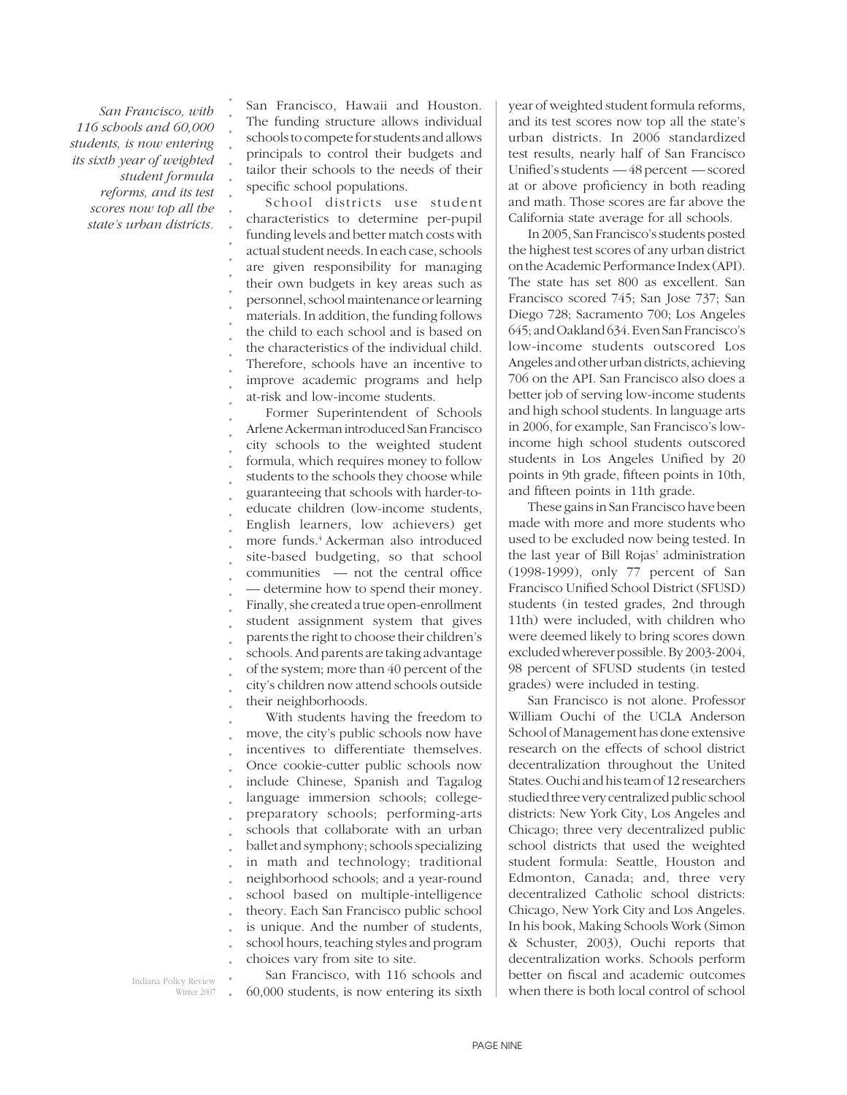*San Francisco, with 116 schools and 60,000 students, is now entering its sixth year of weighted student formula reforms, and its test scores now top all the state's urban districts.*

*. . . . . . . . . . . . . . . . . . .*

San Francisco, Hawaii and Houston. The funding structure allows individual schools to compete for students and allows principals to control their budgets and tailor their schools to the needs of their specific school populations.

School districts use student characteristics to determine per-pupil funding levels and better match costs with actual student needs. In each case, schools are given responsibility for managing their own budgets in key areas such as personnel, school maintenance or learning materials. In addition, the funding follows the child to each school and is based on the characteristics of the individual child. Therefore, schools have an incentive to improve academic programs and help at-risk and low-income students.

*. . . . . . . . . . . . . . . . . . . .* Former Superintendent of Schools Arlene Ackerman introduced San Francisco city schools to the weighted student formula, which requires money to follow students to the schools they choose while guaranteeing that schools with harder-toeducate children (low-income students, English learners, low achievers) get more funds.4 Ackerman also introduced site-based budgeting, so that school  $communties$  — not the central office — determine how to spend their money. Finally, she created a true open-enrollment student assignment system that gives parents the right to choose their children's schools. And parents are taking advantage of the system; more than 40 percent of the city's children now attend schools outside their neighborhoods.

*. . . . . . . . . . . . . . . .* With students having the freedom to move, the city's public schools now have incentives to differentiate themselves. Once cookie-cutter public schools now include Chinese, Spanish and Tagalog language immersion schools; collegepreparatory schools; performing-arts schools that collaborate with an urban ballet and symphony; schools specializing in math and technology; traditional neighborhood schools; and a year-round school based on multiple-intelligence theory. Each San Francisco public school is unique. And the number of students, school hours, teaching styles and program choices vary from site to site.

year of weighted student formula reforms, and its test scores now top all the state's urban districts. In 2006 standardized test results, nearly half of San Francisco Unified's students  $-48$  percent  $-$  scored at or above proficiency in both reading and math. Those scores are far above the California state average for all schools.

In 2005, San Francisco's students posted the highest test scores of any urban district on the Academic Performance Index (API). The state has set 800 as excellent. San Francisco scored 745; San Jose 737; San Diego 728; Sacramento 700; Los Angeles 645; and Oakland 634. Even San Francisco's low-income students outscored Los Angeles and other urban districts, achieving 706 on the API. San Francisco also does a better job of serving low-income students and high school students. In language arts in 2006, for example, San Francisco's lowincome high school students outscored students in Los Angeles Unified by 20 points in 9th grade, fifteen points in 10th, and fifteen points in 11th grade.

These gains in San Francisco have been made with more and more students who used to be excluded now being tested. In the last year of Bill Rojas' administration (1998-1999), only 77 percent of San Francisco Unified School District (SFUSD) students (in tested grades, 2nd through 11th) were included, with children who were deemed likely to bring scores down excluded wherever possible. By 2003-2004, 98 percent of SFUSD students (in tested grades) were included in testing.

San Francisco is not alone. Professor William Ouchi of the UCLA Anderson School of Management has done extensive research on the effects of school district decentralization throughout the United States. Ouchi and his team of 12 researchers studied three very centralized public school districts: New York City, Los Angeles and Chicago; three very decentralized public school districts that used the weighted student formula: Seattle, Houston and Edmonton, Canada; and, three very decentralized Catholic school districts: Chicago, New York City and Los Angeles. In his book, Making Schools Work (Simon & Schuster, 2003), Ouchi reports that decentralization works. Schools perform better on fiscal and academic outcomes when there is both local control of school

*.* Indiana Policy Review Winter 2007

*.* San Francisco, with 116 schools and 60,000 students, is now entering its sixth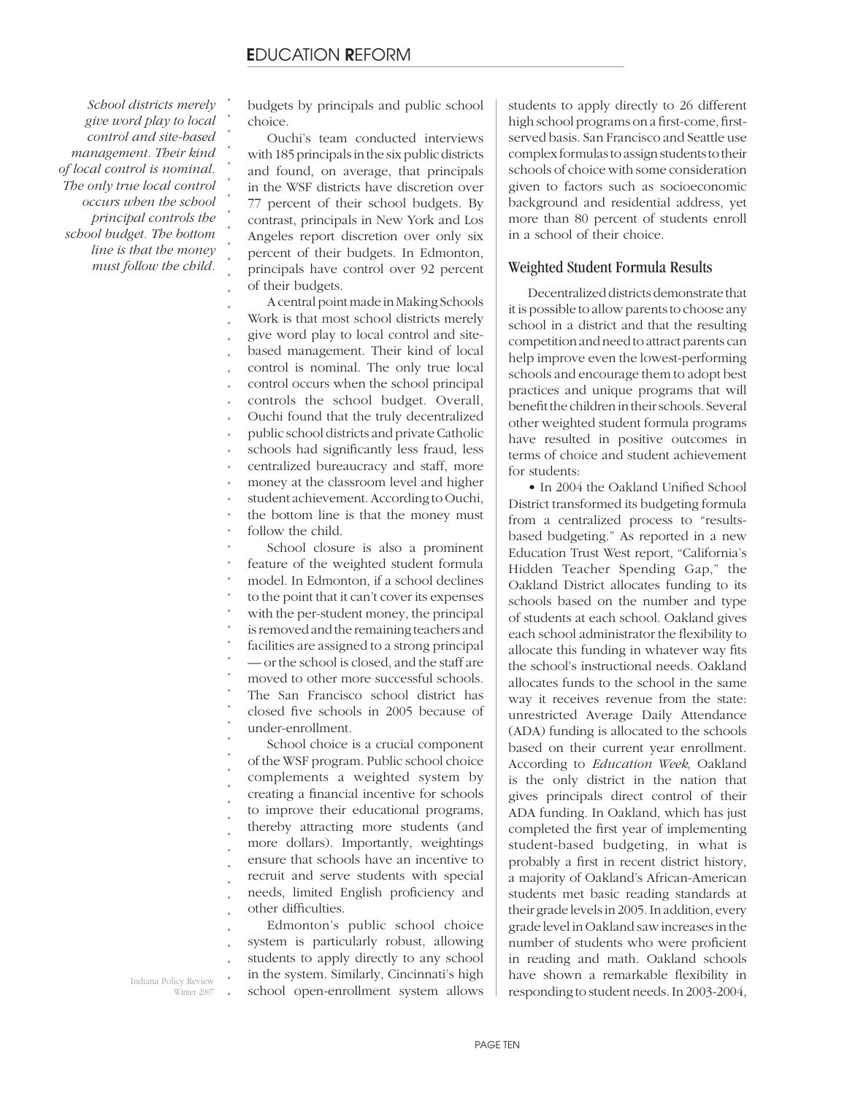*. . . . . . . . . . . .*

*School districts merely give word play to local control and site-based management. Their kind of local control is nominal. The only true local control occurs when the school principal controls the school budget. The bottom line is that the money must follow the child.*

budgets by principals and public school choice.

Ouchi's team conducted interviews with 185 principals in the six public districts and found, on average, that principals in the WSF districts have discretion over 77 percent of their school budgets. By contrast, principals in New York and Los Angeles report discretion over only six percent of their budgets. In Edmonton, principals have control over 92 percent of their budgets.

*. . . . . . . . . . . . . . . . . . . . . . . . . .* A central point made in Making Schools Work is that most school districts merely give word play to local control and sitebased management. Their kind of local control is nominal. The only true local control occurs when the school principal controls the school budget. Overall, Ouchi found that the truly decentralized public school districts and private Catholic schools had significantly less fraud, less centralized bureaucracy and staff, more money at the classroom level and higher student achievement. According to Ouchi, the bottom line is that the money must follow the child. School closure is also a prominent feature of the weighted student formula model. In Edmonton, if a school declines to the point that it can't cover its expenses with the per-student money, the principal is removed and the remaining teachers and facilities are assigned to a strong principal — or the school is closed, and the staff are moved to other more successful schools. The San Francisco school district has

*. . .* closed five schools in 2005 because of under-enrollment.

*. . . . . . . . . . .* School choice is a crucial component of the WSF program. Public school choice complements a weighted system by creating a financial incentive for schools to improve their educational programs, thereby attracting more students (and more dollars). Importantly, weightings ensure that schools have an incentive to recruit and serve students with special needs, limited English proficiency and other difficulties.

*. . . .* Edmonton's public school choice system is particularly robust, allowing students to apply directly to any school in the system. Similarly, Cincinnati's high school open-enrollment system allows students to apply directly to 26 different high school programs on a first-come, firstserved basis. San Francisco and Seattle use complex formulas to assign students to their schools of choice with some consideration given to factors such as socioeconomic background and residential address, yet more than 80 percent of students enroll in a school of their choice.

### Weighted Student Formula Results

Decentralized districts demonstrate that it is possible to allow parents to choose any school in a district and that the resulting competition and need to attract parents can help improve even the lowest-performing schools and encourage them to adopt best practices and unique programs that will benefit the children in their schools. Several other weighted student formula programs have resulted in positive outcomes in terms of choice and student achievement for students:

• In 2004 the Oakland Unified School District transformed its budgeting formula from a centralized process to "resultsbased budgeting." As reported in a new Education Trust West report, "California's Hidden Teacher Spending Gap," the Oakland District allocates funding to its schools based on the number and type of students at each school. Oakland gives each school administrator the flexibility to allocate this funding in whatever way fits the school's instructional needs. Oakland allocates funds to the school in the same way it receives revenue from the state: unrestricted Average Daily Attendance (ADA) funding is allocated to the schools based on their current year enrollment. According to *Education Week,* Oakland is the only district in the nation that gives principals direct control of their ADA funding. In Oakland, which has just completed the first year of implementing student-based budgeting, in what is probably a first in recent district history, a majority of Oakland's African-American students met basic reading standards at their grade levels in 2005. In addition, every grade level in Oakland saw increases in the number of students who were proficient in reading and math. Oakland schools have shown a remarkable flexibility in responding to student needs. In 2003-2004,

*.* Indiana Policy Review Winter 2007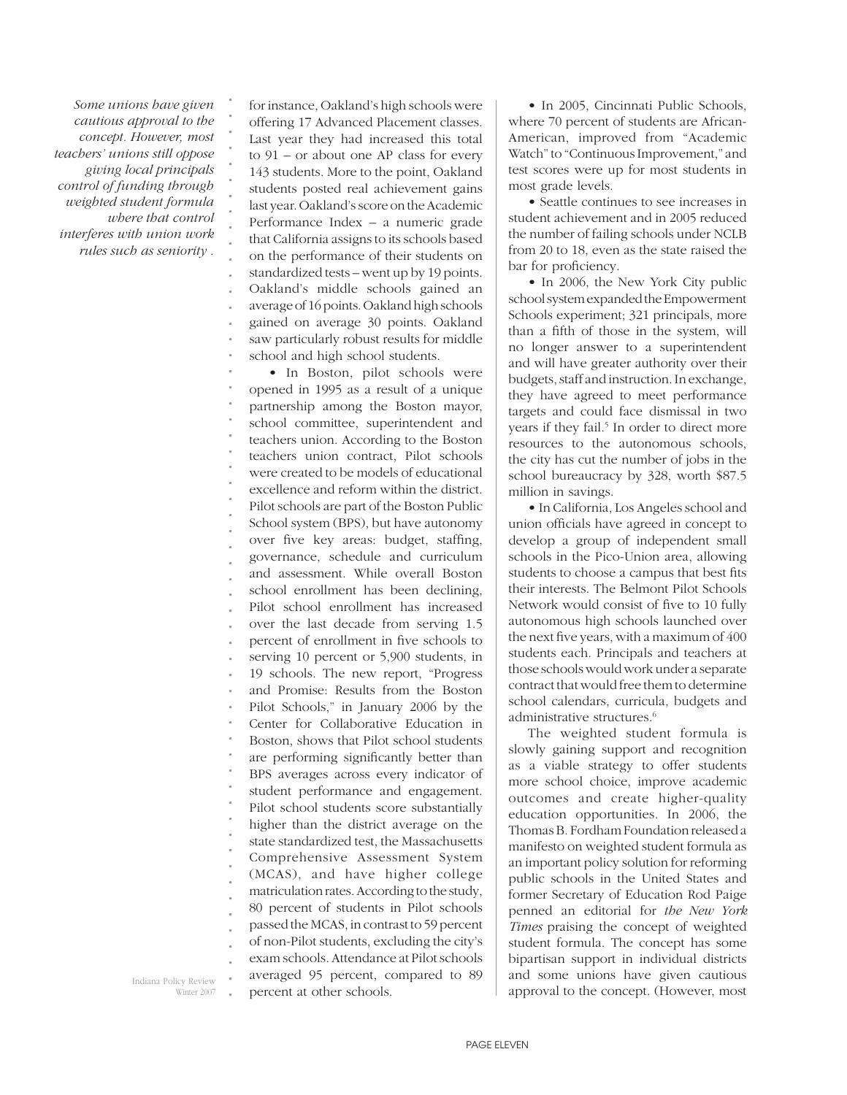*Some unions have given cautious approval to the concept. However, most teachers' unions still oppose giving local principals control of funding through weighted student formula where that control interferes with union work rules such as seniority .*

*. . . . . . . . . . . . . . . . .*

for instance, Oakland's high schools were offering 17 Advanced Placement classes. Last year they had increased this total to 91 – or about one AP class for every 143 students. More to the point, Oakland students posted real achievement gains last year. Oakland's score on the Academic Performance Index – a numeric grade that California assigns to its schools based on the performance of their students on standardized tests – went up by 19 points. Oakland's middle schools gained an average of 16 points. Oakland high schools gained on average 30 points. Oakland saw particularly robust results for middle school and high school students.

*. . . . . . . . . . . . . . . . . . . . . . . . . . . . . . . . . . . . . . . .* • In Boston, pilot schools were opened in 1995 as a result of a unique partnership among the Boston mayor, school committee, superintendent and teachers union. According to the Boston teachers union contract, Pilot schools were created to be models of educational excellence and reform within the district. Pilot schools are part of the Boston Public School system (BPS), but have autonomy over five key areas: budget, staffing, governance, schedule and curriculum and assessment. While overall Boston school enrollment has been declining, Pilot school enrollment has increased over the last decade from serving 1.5 percent of enrollment in five schools to serving 10 percent or 5,900 students, in 19 schools. The new report, "Progress and Promise: Results from the Boston Pilot Schools," in January 2006 by the Center for Collaborative Education in Boston, shows that Pilot school students are performing significantly better than BPS averages across every indicator of student performance and engagement. Pilot school students score substantially higher than the district average on the state standardized test, the Massachusetts Comprehensive Assessment System (MCAS), and have higher college matriculation rates. According to the study, 80 percent of students in Pilot schools passed the MCAS, in contrast to 59 percent of non-Pilot students, excluding the city's exam schools. Attendance at Pilot schools averaged 95 percent, compared to 89 percent at other schools.

• In 2005, Cincinnati Public Schools, where 70 percent of students are African-American, improved from "Academic Watch" to "Continuous Improvement," and test scores were up for most students in most grade levels.

• Seattle continues to see increases in student achievement and in 2005 reduced the number of failing schools under NCLB from 20 to 18, even as the state raised the bar for proficiency.

• In 2006, the New York City public school system expanded the Empowerment Schools experiment; 321 principals, more than a fifth of those in the system, will no longer answer to a superintendent and will have greater authority over their budgets, staff and instruction. In exchange, they have agreed to meet performance targets and could face dismissal in two years if they fail.<sup>5</sup> In order to direct more resources to the autonomous schools, the city has cut the number of jobs in the school bureaucracy by 328, worth \$87.5 million in savings.

• In California, Los Angeles school and union officials have agreed in concept to develop a group of independent small schools in the Pico-Union area, allowing students to choose a campus that best fits their interests. The Belmont Pilot Schools Network would consist of five to 10 fully autonomous high schools launched over the next five years, with a maximum of  $400$ students each. Principals and teachers at those schools would work under a separate contract that would free them to determine school calendars, curricula, budgets and administrative structures.<sup>6</sup>

The weighted student formula is slowly gaining support and recognition as a viable strategy to offer students more school choice, improve academic outcomes and create higher-quality education opportunities. In 2006, the Thomas B. Fordham Foundation released a manifesto on weighted student formula as an important policy solution for reforming public schools in the United States and former Secretary of Education Rod Paige penned an editorial for *the New York Times* praising the concept of weighted student formula. The concept has some bipartisan support in individual districts and some unions have given cautious approval to the concept. (However, most

Indiana Policy Review Winter 2007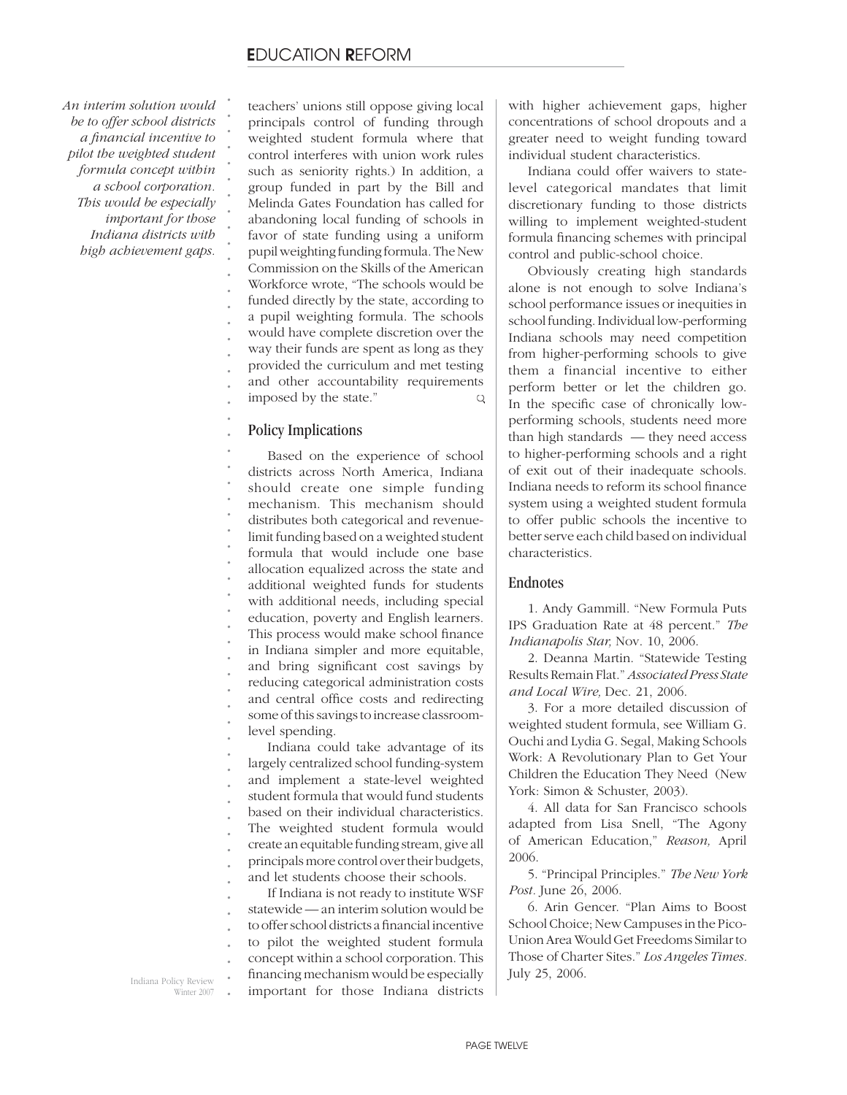*An interim solution would be to offer school districts a fi nancial incentive to pilot the weighted student formula concept within a school corporation. This would be especially important for those Indiana districts with high achievement gaps.*

*. . . . . . . . . . . . . . . . . . . . . . . . . . . . . . . . . . . . . . . .*

teachers' unions still oppose giving local principals control of funding through weighted student formula where that control interferes with union work rules such as seniority rights.) In addition, a group funded in part by the Bill and Melinda Gates Foundation has called for abandoning local funding of schools in favor of state funding using a uniform pupil weighting funding formula. The New Commission on the Skills of the American Workforce wrote, "The schools would be funded directly by the state, according to a pupil weighting formula. The schools would have complete discretion over the way their funds are spent as long as they provided the curriculum and met testing and other accountability requirements imposed by the state." Q

### Policy Implications

Based on the experience of school districts across North America, Indiana should create one simple funding mechanism. This mechanism should distributes both categorical and revenuelimit funding based on a weighted student formula that would include one base allocation equalized across the state and additional weighted funds for students with additional needs, including special education, poverty and English learners. This process would make school finance in Indiana simpler and more equitable, and bring significant cost savings by reducing categorical administration costs and central office costs and redirecting some of this savings to increase classroomlevel spending.

*. . . . . . . . . .* Indiana could take advantage of its largely centralized school funding-system and implement a state-level weighted student formula that would fund students based on their individual characteristics. The weighted student formula would create an equitable funding stream, give all principals more control over their budgets, and let students choose their schools.

*. . . . . .* If Indiana is not ready to institute WSF statewide — an interim solution would be to offer school districts a financial incentive to pilot the weighted student formula concept within a school corporation. This financing mechanism would be especially important for those Indiana districts

*.* Indiana Policy Review Winter 2007 with higher achievement gaps, higher concentrations of school dropouts and a greater need to weight funding toward individual student characteristics.

Indiana could offer waivers to statelevel categorical mandates that limit discretionary funding to those districts willing to implement weighted-student formula financing schemes with principal control and public-school choice.

Obviously creating high standards alone is not enough to solve Indiana's school performance issues or inequities in school funding. Individual low-performing Indiana schools may need competition from higher-performing schools to give them a financial incentive to either perform better or let the children go. In the specific case of chronically lowperforming schools, students need more than high standards — they need access to higher-performing schools and a right of exit out of their inadequate schools. Indiana needs to reform its school finance system using a weighted student formula to offer public schools the incentive to better serve each child based on individual characteristics.

### Endnotes

1. Andy Gammill. "New Formula Puts IPS Graduation Rate at 48 percent." *The Indianapolis Star,* Nov. 10, 2006.

2. Deanna Martin. "Statewide Testing Results Remain Flat." *Associated Press State and Local Wire,* Dec. 21, 2006.

3. For a more detailed discussion of weighted student formula, see William G. Ouchi and Lydia G. Segal, Making Schools Work: A Revolutionary Plan to Get Your Children the Education They Need (New York: Simon & Schuster, 2003).

4. All data for San Francisco schools adapted from Lisa Snell, "The Agony of American Education," *Reason,* April 2006.

5. "Principal Principles." *The New York Post.* June 26, 2006.

6. Arin Gencer. "Plan Aims to Boost School Choice; New Campuses in the Pico-Union Area Would Get Freedoms Similar to Those of Charter Sites." *Los Angeles Times.*  July 25, 2006.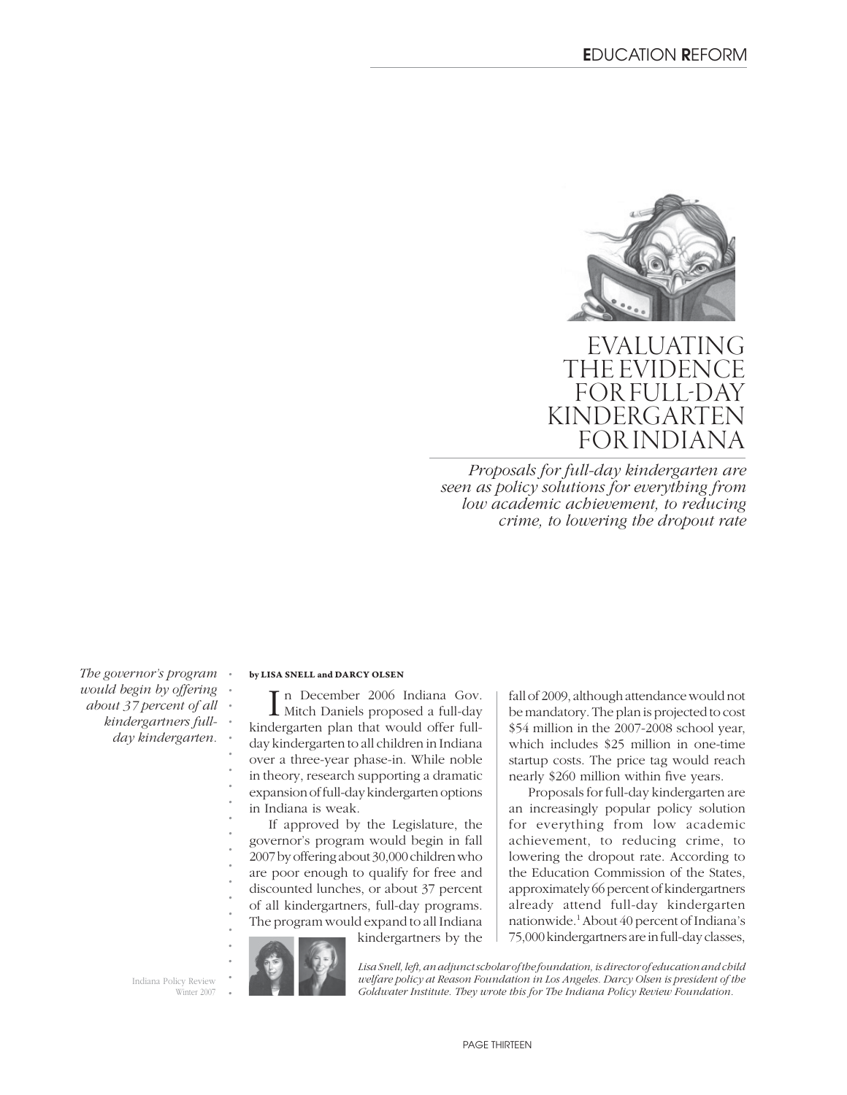

EVALUATING THE EVIDEN FOR FULL-KINDERGART FOR INDIAN

*Proposals for full-day kindergarten are seen as policy solutions for everything from low academic achievement, to reducing crime, to lowering the dropout rate*

*The governor's program would begin by offering about 37 percent of all kindergartners fullday kindergarten.*

*. . . . . . . . . . . . . . . . . . . . .*

#### **by LISA SNELL and DARCY OLSEN**

In December 2006 Indiana Gov.<br>
Mitch Daniels proposed a full-day n December 2006 Indiana Gov. kindergarten plan that would offer fullday kindergarten to all children in Indiana over a three-year phase-in. While noble in theory, research supporting a dramatic expansion of full-day kindergarten options in Indiana is weak.

If approved by the Legislature, the governor's program would begin in fall 2007 by offering about 30,000 children who are poor enough to qualify for free and discounted lunches, or about 37 percent of all kindergartners, full-day programs. The program would expand to all Indiana

kindergartners by the

fall of 2009, although attendance would not be mandatory. The plan is projected to cost \$54 million in the 2007-2008 school year, which includes \$25 million in one-time startup costs. The price tag would reach nearly \$260 million within five years.

Proposals for full-day kindergarten are an increasingly popular policy solution for everything from low academic achievement, to reducing crime, to lowering the dropout rate. According to the Education Commission of the States, approximately 66 percent of kindergartners already attend full-day kindergarten nationwide.1 About 40 percent of Indiana's 75,000 kindergartners are in full-day classes,

Indiana Policy Review Winter 2007



*Lisa Snell, left, an adjunct scholar of the foundation, is director of education and child welfare policy at Reason Foundation in Los Angeles. Darcy Olsen is president of the Goldwater Institute. They wrote this for The Indiana Policy Review Foundation.*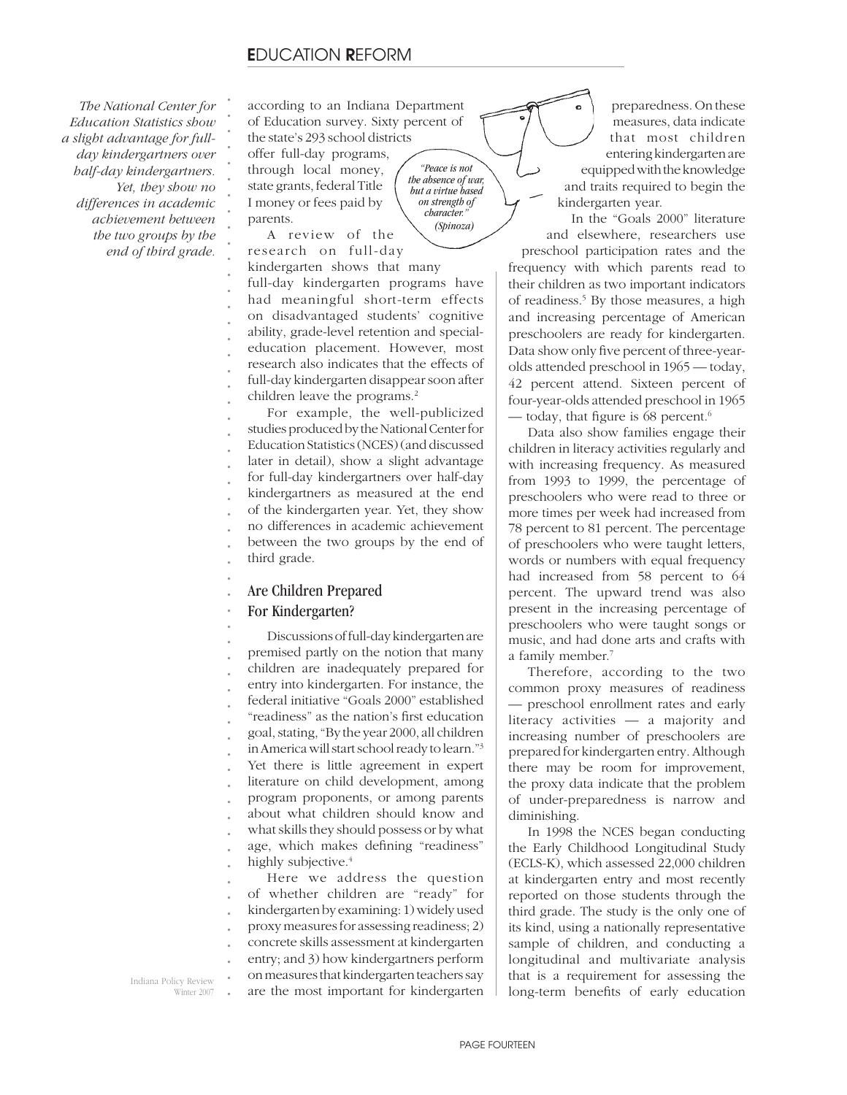*The National Center for Education Statistics show a slight advantage for fullday kindergartners over half-day kindergartners. Yet, they show no differences in academic achievement between the two groups by the end of third grade.* 

according to an Indiana Department of Education survey. Sixty percent of the state's 293 school districts

> *"Peace is not the absence of war, but a virtue based on strength of character." (Spinoza)*

offer full-day programs, through local money, state grants, federal Title I money or fees paid by parents.

*. . . . . . . . . . . . . . . . . . .*

A review of the research on full-day kindergarten shows that many full-day kindergarten programs have had meaningful short-term effects on disadvantaged students' cognitive ability, grade-level retention and specialeducation placement. However, most research also indicates that the effects of full-day kindergarten disappear soon after children leave the programs.<sup>2</sup>

*. . . . . . . . . . .* For example, the well-publicized studies produced by the National Center for Education Statistics (NCES) (and discussed later in detail), show a slight advantage for full-day kindergartners over half-day kindergartners as measured at the end of the kindergarten year. Yet, they show no differences in academic achievement between the two groups by the end of third grade.

#### *. .* Are Children Prepared

#### *.* For Kindergarten?

*. . . . . . . . . . . . . . . .* Discussions of full-day kindergarten are premised partly on the notion that many children are inadequately prepared for entry into kindergarten. For instance, the federal initiative "Goals 2000" established "readiness" as the nation's first education goal, stating, "By the year 2000, all children in America will start school ready to learn."3 Yet there is little agreement in expert literature on child development, among program proponents, or among parents about what children should know and what skills they should possess or by what age, which makes defining "readiness" highly subjective.<sup>4</sup>

*. . . . . . .* Here we address the question of whether children are "ready" for kindergarten by examining: 1) widely used proxy measures for assessing readiness; 2) concrete skills assessment at kindergarten entry; and 3) how kindergartners perform on measures that kindergarten teachers say are the most important for kindergarten

*.* Indiana Policy Review Winter 2007

preparedness. On these measures, data indicate that most children entering kindergarten are equipped with the knowledge and traits required to begin the kindergarten year.

In the "Goals 2000" literature and elsewhere, researchers use preschool participation rates and the frequency with which parents read to their children as two important indicators of readiness.5 By those measures, a high and increasing percentage of American preschoolers are ready for kindergarten. Data show only five percent of three-yearolds attended preschool in 1965 — today, 42 percent attend. Sixteen percent of four-year-olds attended preschool in 1965 — today, that figure is 68 percent.<sup>6</sup>

Data also show families engage their children in literacy activities regularly and with increasing frequency. As measured from 1993 to 1999, the percentage of preschoolers who were read to three or more times per week had increased from 78 percent to 81 percent. The percentage of preschoolers who were taught letters, words or numbers with equal frequency had increased from 58 percent to 64 percent. The upward trend was also present in the increasing percentage of preschoolers who were taught songs or music, and had done arts and crafts with a family member.7

Therefore, according to the two common proxy measures of readiness — preschool enrollment rates and early literacy activities — a majority and increasing number of preschoolers are prepared for kindergarten entry. Although there may be room for improvement, the proxy data indicate that the problem of under-preparedness is narrow and diminishing.

In 1998 the NCES began conducting the Early Childhood Longitudinal Study (ECLS-K), which assessed 22,000 children at kindergarten entry and most recently reported on those students through the third grade. The study is the only one of its kind, using a nationally representative sample of children, and conducting a longitudinal and multivariate analysis that is a requirement for assessing the long-term benefits of early education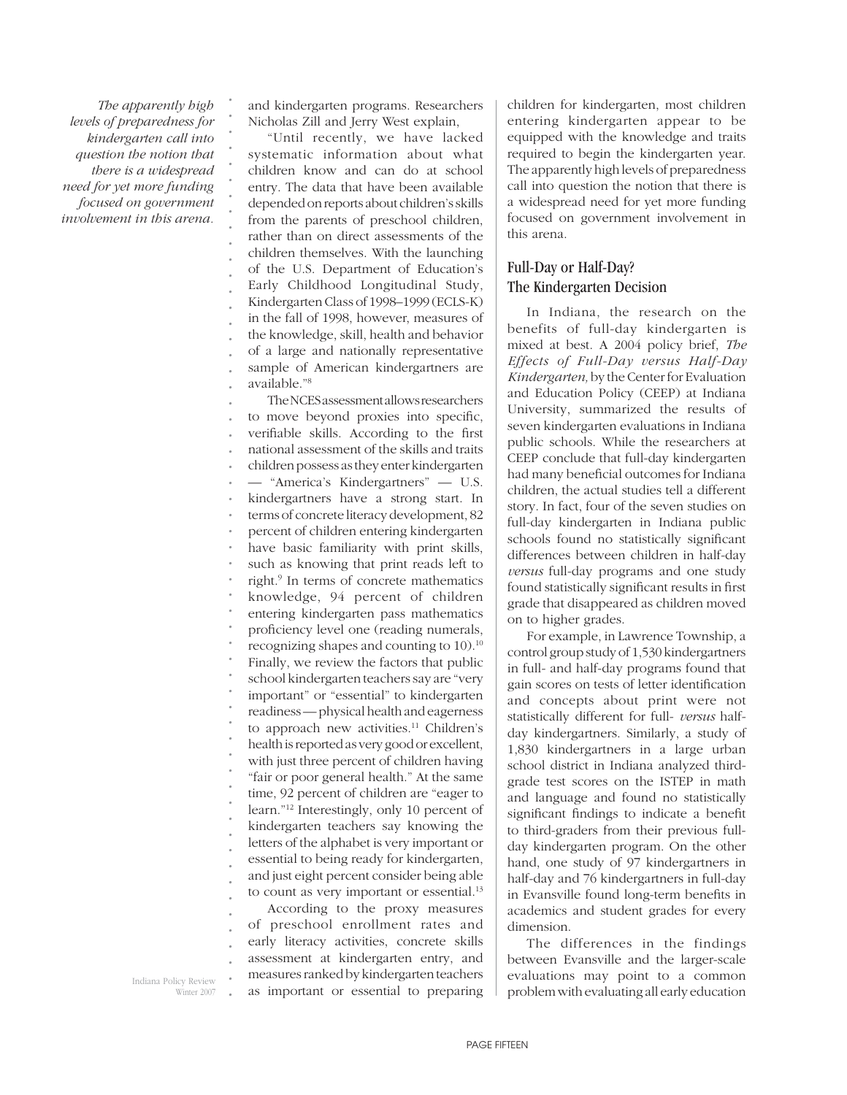*The apparently high levels of preparedness for kindergarten call into question the notion that there is a widespread need for yet more funding focused on government involvement in this arena.*

*. . . . . . . . . . . . . . . . . . .*

and kindergarten programs. Researchers Nicholas Zill and Jerry West explain,

"Until recently, we have lacked systematic information about what children know and can do at school entry. The data that have been available depended on reports about children's skills from the parents of preschool children, rather than on direct assessments of the children themselves. With the launching of the U.S. Department of Education's Early Childhood Longitudinal Study, Kindergarten Class of 1998–1999 (ECLS-K) in the fall of 1998, however, measures of the knowledge, skill, health and behavior of a large and nationally representative sample of American kindergartners are available."8

*. . . . . . . . . . . . . . . . . . . . . . . . . . . . . . . .* The NCES assessment allows researchers to move beyond proxies into specific, verifiable skills. According to the first national assessment of the skills and traits children possess as they enter kindergarten — "America's Kindergartners" — U.S. kindergartners have a strong start. In terms of concrete literacy development, 82 percent of children entering kindergarten have basic familiarity with print skills, such as knowing that print reads left to right.9 In terms of concrete mathematics knowledge, 94 percent of children entering kindergarten pass mathematics proficiency level one (reading numerals, recognizing shapes and counting to 10).10 Finally, we review the factors that public school kindergarten teachers say are "very important" or "essential" to kindergarten readiness — physical health and eagerness to approach new activities.<sup>11</sup> Children's health is reported as very good or excellent, with just three percent of children having "fair or poor general health." At the same time, 92 percent of children are "eager to learn."12 Interestingly, only 10 percent of kindergarten teachers say knowing the letters of the alphabet is very important or essential to being ready for kindergarten, and just eight percent consider being able to count as very important or essential.<sup>13</sup>

According to the proxy measures of preschool enrollment rates and early literacy activities, concrete skills assessment at kindergarten entry, and measures ranked by kindergarten teachers as important or essential to preparing children for kindergarten, most children entering kindergarten appear to be equipped with the knowledge and traits required to begin the kindergarten year. The apparently high levels of preparedness call into question the notion that there is a widespread need for yet more funding focused on government involvement in this arena.

### Full-Day or Half-Day? The Kindergarten Decision

In Indiana, the research on the benefits of full-day kindergarten is mixed at best. A 2004 policy brief, *The Effects of Full-Day versus Half-Day Kindergarten,* by the Center for Evaluation and Education Policy (CEEP) at Indiana University, summarized the results of seven kindergarten evaluations in Indiana public schools. While the researchers at CEEP conclude that full-day kindergarten had many beneficial outcomes for Indiana children, the actual studies tell a different story. In fact, four of the seven studies on full-day kindergarten in Indiana public schools found no statistically significant differences between children in half-day *versus* full-day programs and one study found statistically significant results in first grade that disappeared as children moved on to higher grades.

For example, in Lawrence Township, a control group study of 1,530 kindergartners in full- and half-day programs found that gain scores on tests of letter identification and concepts about print were not statistically different for full- *versus* halfday kindergartners. Similarly, a study of 1,830 kindergartners in a large urban school district in Indiana analyzed thirdgrade test scores on the ISTEP in math and language and found no statistically significant findings to indicate a benefit to third-graders from their previous fullday kindergarten program. On the other hand, one study of 97 kindergartners in half-day and 76 kindergartners in full-day in Evansville found long-term benefits in academics and student grades for every dimension.

The differences in the findings between Evansville and the larger-scale evaluations may point to a common problem with evaluating all early education

Indiana Policy Review Winter 2007

*. . . . . .*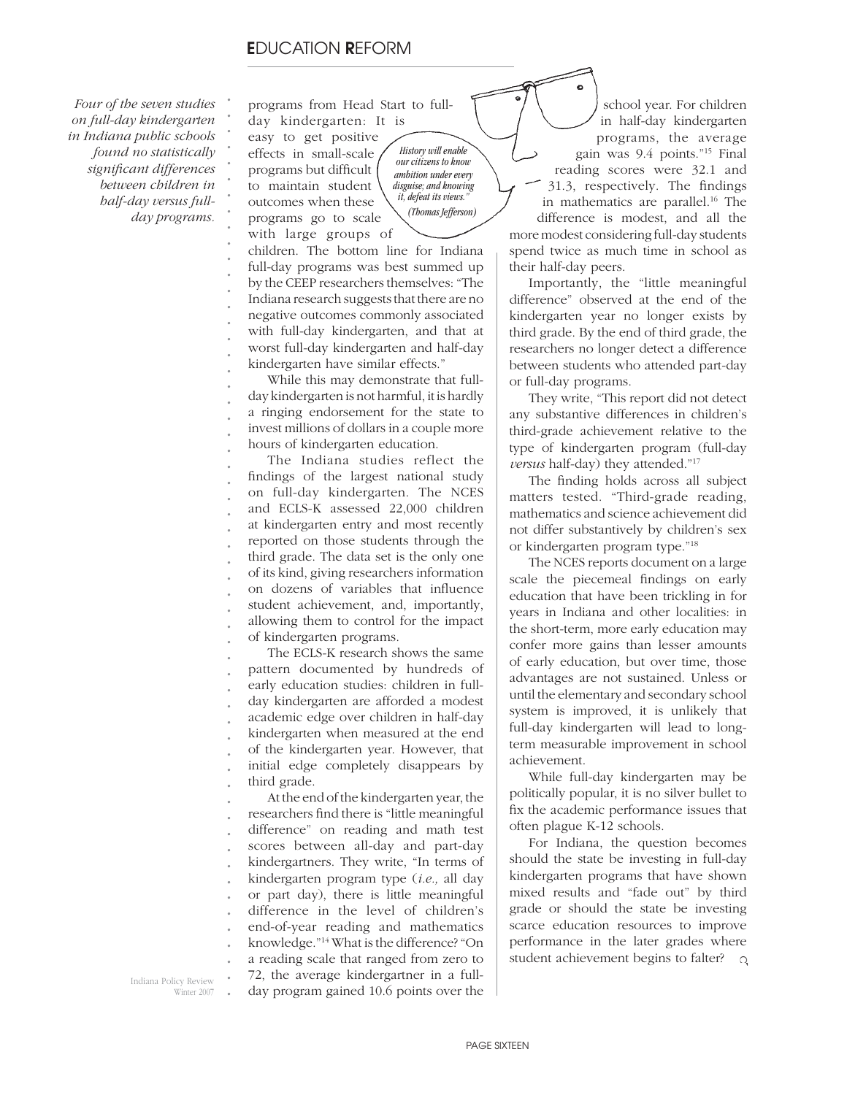### **E**DUCATION **R**EFORM

 *Four of the seven studies on full-day kindergarten in Indiana public schools found no statistically signifi cant differences between children in half-day versus fullday programs.* 

programs from Head Start to fullday kindergarten: It is

easy to get positive effects in small-scale programs but difficult to maintain student

*. . . . . . . . . . . . . . . . . . . . . .*

outcomes when these programs go to scale with large groups of

*History will enable our citizens to know ambition under every disguise; and knowing it, defeat its views." (Thomas Jefferson)*

children. The bottom line for Indiana full-day programs was best summed up by the CEEP researchers themselves: "The Indiana research suggests that there are no negative outcomes commonly associated with full-day kindergarten, and that at worst full-day kindergarten and half-day kindergarten have similar effects."

While this may demonstrate that fullday kindergarten is not harmful, it is hardly a ringing endorsement for the state to invest millions of dollars in a couple more hours of kindergarten education.

*. . . . . . . . . . . . .* The Indiana studies reflect the findings of the largest national study on full-day kindergarten. The NCES and ECLS-K assessed 22,000 children at kindergarten entry and most recently reported on those students through the third grade. The data set is the only one of its kind, giving researchers information on dozens of variables that influence student achievement, and, importantly, allowing them to control for the impact of kindergarten programs.

*. . . . . . . . .* The ECLS-K research shows the same pattern documented by hundreds of early education studies: children in fullday kindergarten are afforded a modest academic edge over children in half-day kindergarten when measured at the end of the kindergarten year. However, that initial edge completely disappears by third grade.

*. . . . . . . . . . . .* At the end of the kindergarten year, the researchers find there is "little meaningful difference" on reading and math test scores between all-day and part-day kindergartners. They write, "In terms of kindergarten program type (*i.e.,* all day or part day), there is little meaningful difference in the level of children's end-of-year reading and mathematics knowledge."14 What is the difference? "On a reading scale that ranged from zero to 72, the average kindergartner in a fullday program gained 10.6 points over the

school year. For children in half-day kindergarten programs, the average gain was 9.4 points."15 Final reading scores were 32.1 and 31.3, respectively. The findings in mathematics are parallel.16 The difference is modest, and all the more modest considering full-day students spend twice as much time in school as their half-day peers.

Importantly, the "little meaningful difference" observed at the end of the kindergarten year no longer exists by third grade. By the end of third grade, the researchers no longer detect a difference between students who attended part-day or full-day programs.

They write, "This report did not detect any substantive differences in children's third-grade achievement relative to the type of kindergarten program (full-day *versus* half-day) they attended."17

The finding holds across all subject matters tested. "Third-grade reading, mathematics and science achievement did not differ substantively by children's sex or kindergarten program type."18

The NCES reports document on a large scale the piecemeal findings on early education that have been trickling in for years in Indiana and other localities: in the short-term, more early education may confer more gains than lesser amounts of early education, but over time, those advantages are not sustained. Unless or until the elementary and secondary school system is improved, it is unlikely that full-day kindergarten will lead to longterm measurable improvement in school achievement.

While full-day kindergarten may be politically popular, it is no silver bullet to fix the academic performance issues that often plague K-12 schools.

For Indiana, the question becomes should the state be investing in full-day kindergarten programs that have shown mixed results and "fade out" by third grade or should the state be investing scarce education resources to improve performance in the later grades where student achievement begins to falter? **Q** 

*.* Indiana Policy Review Winter 2007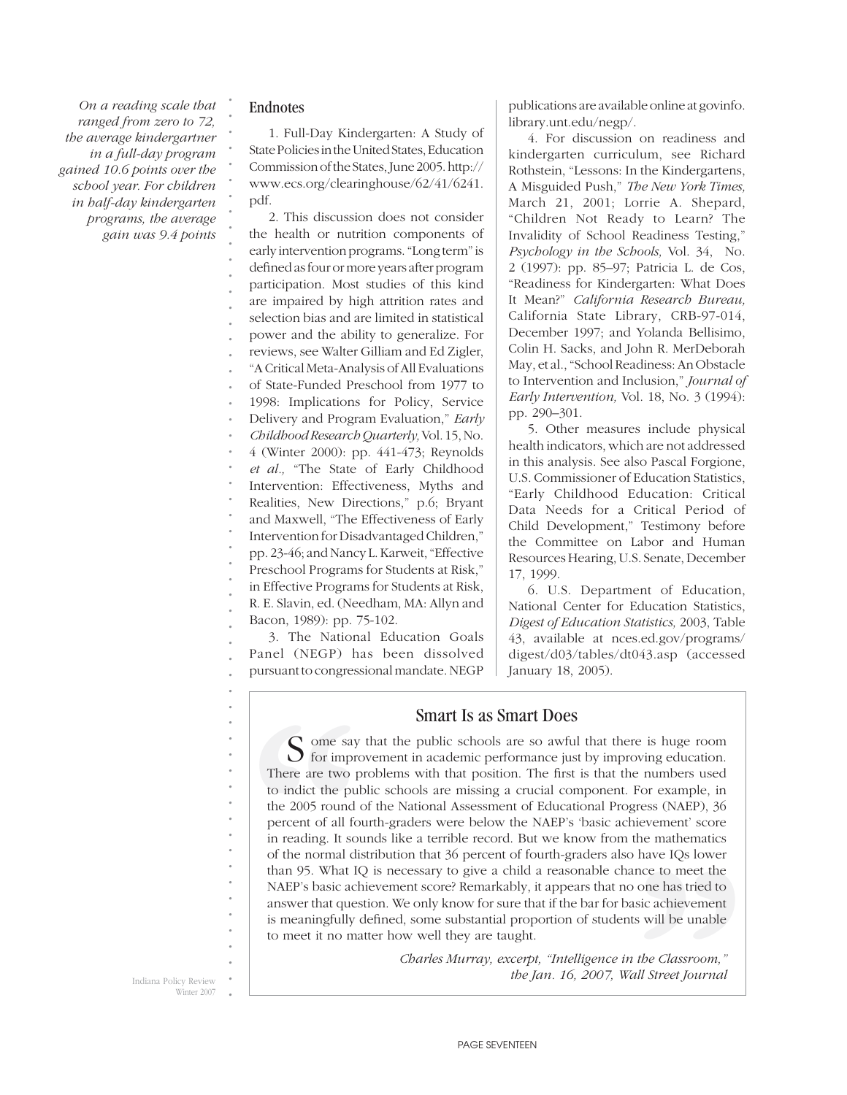*On a reading scale that ranged from zero to 72, the average kindergartner in a full-day program gained 10.6 points over the school year. For children in half-day kindergarten programs, the average gain was 9.4 points*

### Endnotes

*. . . . . . .*

1. Full-Day Kindergarten: A Study of State Policies in the United States, Education Commission of the States, June 2005. http:// www.ecs.org/clearinghouse/62/41/6241. pdf.

*. . . . . . . . . . . . . . . . . . . . . . . . . . . .* 2. This discussion does not consider the health or nutrition components of early intervention programs. "Long term" is defined as four or more years after program participation. Most studies of this kind are impaired by high attrition rates and selection bias and are limited in statistical power and the ability to generalize. For reviews, see Walter Gilliam and Ed Zigler, "A Critical Meta-Analysis of All Evaluations of State-Funded Preschool from 1977 to 1998: Implications for Policy, Service Delivery and Program Evaluation," *Early Childhood Research Quarterly,* Vol. 15, No. 4 (Winter 2000): pp. 441-473; Reynolds *et al.,* "The State of Early Childhood Intervention: Effectiveness, Myths and Realities, New Directions," p.6; Bryant and Maxwell, "The Effectiveness of Early Intervention for Disadvantaged Children," pp. 23-46; and Nancy L. Karweit, "Effective Preschool Programs for Students at Risk," in Effective Programs for Students at Risk, R. E. Slavin, ed. (Needham, MA: Allyn and Bacon, 1989): pp. 75-102.

*. .* 3. The National Education Goals Panel (NEGP) has been dissolved pursuant to congressional mandate. NEGP publications are available online at govinfo. library.unt.edu/negp/.

4. For discussion on readiness and kindergarten curriculum, see Richard Rothstein, "Lessons: In the Kindergartens, A Misguided Push," *The New York Times,* March 21, 2001; Lorrie A. Shepard, "Children Not Ready to Learn? The Invalidity of School Readiness Testing," *Psychology in the Schools,* Vol. 34, No. 2 (1997): pp. 85–97; Patricia L. de Cos, "Readiness for Kindergarten: What Does It Mean?" *California Research Bureau,* California State Library, CRB-97-014, December 1997; and Yolanda Bellisimo, Colin H. Sacks, and John R. MerDeborah May, et al., "School Readiness: An Obstacle to Intervention and Inclusion," *Journal of Early Intervention,* Vol. 18, No. 3 (1994): pp. 290–301.

5. Other measures include physical health indicators, which are not addressed in this analysis. See also Pascal Forgione, U.S. Commissioner of Education Statistics, "Early Childhood Education: Critical Data Needs for a Critical Period of Child Development," Testimony before the Committee on Labor and Human Resources Hearing, U.S. Senate, December 17, 1999.

6. U.S. Department of Education, National Center for Education Statistics, *Digest of Education Statistics,* 2003, Table 43, available at nces.ed.gov/programs/ digest/d03/tables/dt043.asp (accessed January 18, 2005).

### Smart Is as Smart Does

For example, in<br>gress (NAEP), 36<br>injevement' score<br>the mathematics<br>have IQs lower<br>nce to meet the<br>one has tried to<br>sic achievement<br>s will be unable<br>the Classroom,"<br>all Street Journal 5. The Nation<br>Panel (NEGP) h<br>pursuant to congress<br>more are two p<br>for improvement of all form of the pull<br>the 2005 round<br>percent of all form of the normal difference of the normal difference of the NAEP's basic act<br>answer t S ome say that the public schools are so awful that there is huge room for improvement in academic performance just by improving education. There are two problems with that position. The first is that the numbers used to indict the public schools are missing a crucial component. For example, in the 2005 round of the National Assessment of Educational Progress (NAEP), 36 percent of all fourth-graders were below the NAEP's 'basic achievement' score in reading. It sounds like a terrible record. But we know from the mathematics of the normal distribution that 36 percent of fourth-graders also have IQs lower than 95. What IQ is necessary to give a child a reasonable chance to meet the NAEP's basic achievement score? Remarkably, it appears that no one has tried to answer that question. We only know for sure that if the bar for basic achievement is meaningfully defined, some substantial proportion of students will be unable to meet it no matter how well they are taught.

Indiana Policy Review Winter 2007

*. . . . . . . . . . . . . . . . . . . .*

 *Charles Murray, excerpt, "Intelligence in the Classroom," the Jan. 16, 2007, Wall Street Journal*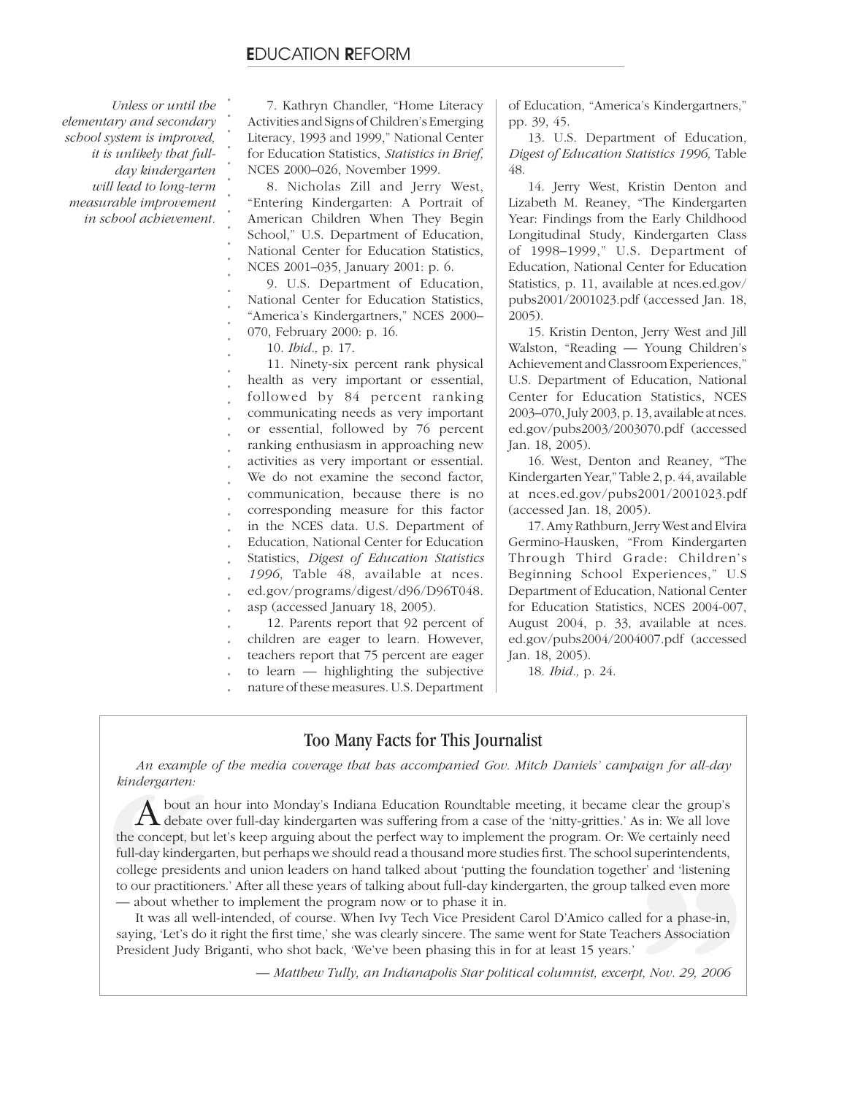*Unless or until the elementary and secondary school system is improved, it is unlikely that fullday kindergarten will lead to long-term measurable improvement in school achievement.* 

*. . . . . . . . . . . . . . . .*

7. Kathryn Chandler, "Home Literacy Activities and Signs of Children's Emerging Literacy, 1993 and 1999," National Center for Education Statistics, *Statistics in Brief,*  NCES 2000–026, November 1999.

8. Nicholas Zill and Jerry West, "Entering Kindergarten: A Portrait of American Children When They Begin School," U.S. Department of Education, National Center for Education Statistics, NCES 2001–035, January 2001: p. 6.

9. U.S. Department of Education, National Center for Education Statistics, "America's Kindergartners," NCES 2000– 070, February 2000: p. 16.

10. *Ibid.,* p. 17.

*. . . . . . . . . . . . . . . . . .* 11. Ninety-six percent rank physical health as very important or essential, followed by 84 percent ranking communicating needs as very important or essential, followed by 76 percent ranking enthusiasm in approaching new activities as very important or essential. We do not examine the second factor, communication, because there is no corresponding measure for this factor in the NCES data. U.S. Department of Education, National Center for Education Statistics, *Digest of Education Statistics 1996,* Table 48, available at nces. ed.gov/programs/digest/d96/D96T048. asp (accessed January 18, 2005). 12. Parents report that 92 percent of children are eager to learn. However,

*. .*

*.* teachers report that 75 percent are eager

*.* to learn — highlighting the subjective nature of these measures. U.S. Department of Education, "America's Kindergartners," pp. 39, 45.

13. U.S. Department of Education, *Digest of Education Statistics 1996,* Table 48.

14. Jerry West, Kristin Denton and Lizabeth M. Reaney, "The Kindergarten Year: Findings from the Early Childhood Longitudinal Study, Kindergarten Class of 1998–1999," U.S. Department of Education, National Center for Education Statistics, p. 11, available at nces.ed.gov/ pubs2001/2001023.pdf (accessed Jan. 18, 2005).

15. Kristin Denton, Jerry West and Jill Walston, "Reading — Young Children's Achievement and Classroom Experiences," U.S. Department of Education, National Center for Education Statistics, NCES 2003–070, July 2003, p. 13, available at nces. ed.gov/pubs2003/2003070.pdf (accessed Jan. 18, 2005).

16. West, Denton and Reaney, "The Kindergarten Year," Table 2, p. 44, available at nces.ed.gov/pubs2001/2001023.pdf (accessed Jan. 18, 2005).

17. Amy Rathburn, Jerry West and Elvira Germino-Hausken, "From Kindergarten Through Third Grade: Children's Beginning School Experiences," U.S Department of Education, National Center for Education Statistics, NCES 2004-007, August 2004, p. 33, available at nces. ed.gov/pubs2004/2004007.pdf (accessed Jan. 18, 2005).

18. *Ibid.,* p. 24.

## Too Many Facts for This Journalist

*An example of the media coverage that has accompanied Gov. Mitch Daniels' campaign for all-day kindergarten:*

An example of<br>
kindergarten:<br> **A** bout an<br>
the concept, but<br>
full-day kinderga<br>
college president<br>
to our practitione<br>
— about whethe<br>
It was all well<br>
saying, 'Let's do i<br>
President Judy B: clear the group's<br>
So in: We all love<br>
We certainly need<br>
superintendents,<br>
er' and 'listening<br>
alked even more<br>
d for a phase-in,<br>
thers Association<br>
bt, *Nov. 29, 2006* A bout an hour into Monday's Indiana Education Roundtable meeting, it became clear the group's debate over full-day kindergarten was suffering from a case of the 'nitty-gritties.' As in: We all love the concept, but let's keep arguing about the perfect way to implement the program. Or: We certainly need full-day kindergarten, but perhaps we should read a thousand more studies first. The school superintendents, college presidents and union leaders on hand talked about 'putting the foundation together' and 'listening to our practitioners.' After all these years of talking about full-day kindergarten, the group talked even more — about whether to implement the program now or to phase it in.

It was all well-intended, of course. When Ivy Tech Vice President Carol D'Amico called for a phase-in, saying, 'Let's do it right the first time,' she was clearly sincere. The same went for State Teachers Association President Judy Briganti, who shot back, 'We've been phasing this in for at least 15 years.'

*— Matthew Tully, an Indianapolis Star political columnist, excerpt, Nov. 29, 2006*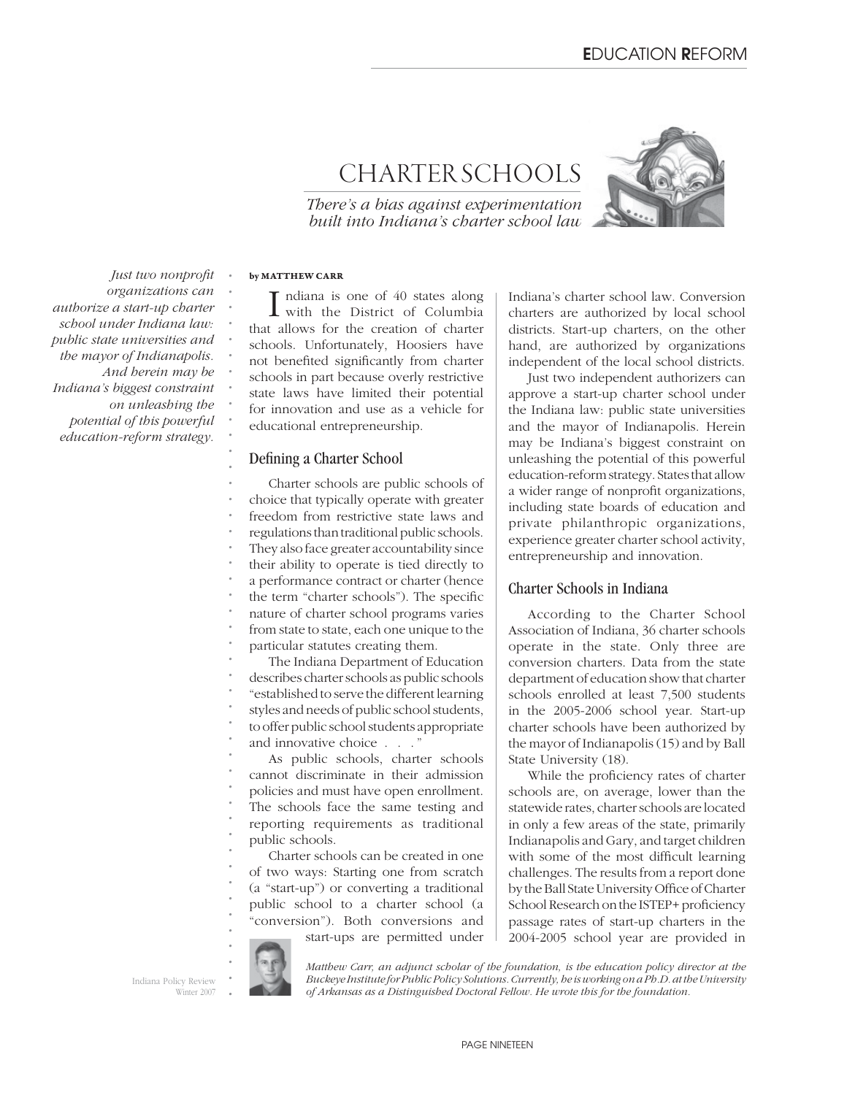# CHARTER SCHOOLS

*There's a bias against experimentation built into Indiana's charter school law*



*Just two nonprofi t organizations can authorize a start-up charter school under Indiana law: public state universities and the mayor of Indianapolis. And herein may be Indiana's biggest constraint on unleashing the potential of this powerful education-reform strategy.*

### **by MATTHEW CARR**

*. . . . . . . . . . . . .*

I ndiana is one of 40 states along<br>with the District of Columbia that allows for the creation of charter schools. Unfortunately, Hoosiers have not benefited significantly from charter schools in part because overly restrictive state laws have limited their potential for innovation and use as a vehicle for educational entrepreneurship.

### Defining a Charter School

*. . . . . . . . . . . .* Charter schools are public schools of choice that typically operate with greater freedom from restrictive state laws and regulations than traditional public schools. They also face greater accountability since their ability to operate is tied directly to a performance contract or charter (hence the term "charter schools"). The specific nature of charter school programs varies from state to state, each one unique to the particular statutes creating them.

The Indiana Department of Education describes charter schools as public schools "established to serve the different learning styles and needs of public school students, to offer public school students appropriate and innovative choice . . . "

*. . . . . . .* As public schools, charter schools cannot discriminate in their admission policies and must have open enrollment. The schools face the same testing and reporting requirements as traditional public schools.

Charter schools can be created in one of two ways: Starting one from scratch (a "start-up") or converting a traditional public school to a charter school (a "conversion"). Both conversions and start-ups are permitted under Indiana's charter school law. Conversion charters are authorized by local school districts. Start-up charters, on the other hand, are authorized by organizations independent of the local school districts.

Just two independent authorizers can approve a start-up charter school under the Indiana law: public state universities and the mayor of Indianapolis. Herein may be Indiana's biggest constraint on unleashing the potential of this powerful education-reform strategy. States that allow a wider range of nonprofit organizations, including state boards of education and private philanthropic organizations, experience greater charter school activity, entrepreneurship and innovation.

### Charter Schools in Indiana

According to the Charter School Association of Indiana, 36 charter schools operate in the state. Only three are conversion charters. Data from the state department of education show that charter schools enrolled at least 7,500 students in the 2005-2006 school year. Start-up charter schools have been authorized by the mayor of Indianapolis (15) and by Ball State University (18).

While the proficiency rates of charter schools are, on average, lower than the statewide rates, charter schools are located in only a few areas of the state, primarily Indianapolis and Gary, and target children with some of the most difficult learning challenges. The results from a report done by the Ball State University Office of Charter School Research on the ISTEP+ proficiency passage rates of start-up charters in the 2004-2005 school year are provided in



*. . . . .*

*. . . . .*

Indiana Policy Review Winter 2007 *Matthew Carr, an adjunct scholar of the foundation, is the education policy director at the Buckeye Institute for Public Policy Solutions. Currently, he is working on a Ph.D. at the University of Arkansas as a Distinguished Doctoral Fellow. He wrote this for the foundation.*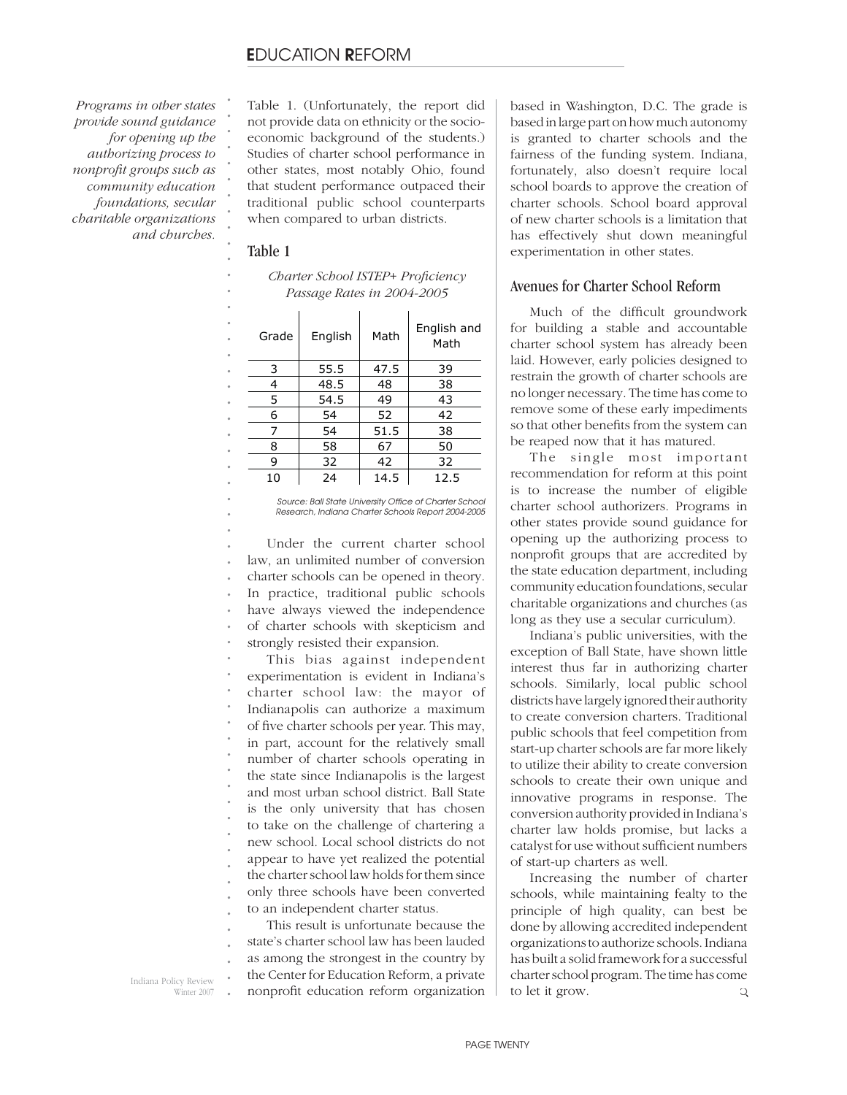*Programs in other states provide sound guidance for opening up the authorizing process to nonprofi t groups such as community education foundations, secular charitable organizations and churches.* Table 1. (Unfortunately, the report did not provide data on ethnicity or the socioeconomic background of the students.) Studies of charter school performance in other states, most notably Ohio, found that student performance outpaced their traditional public school counterparts when compared to urban districts.

### Table 1

*. . . . . . . . . . . . . . . . . . . . . . . . . . .*

*Charter School ISTEP+ Profi ciency Passage Rates in 2004-2005*

|   | Grade | English | Math | English and<br>Math |  |  |  |
|---|-------|---------|------|---------------------|--|--|--|
|   | 3     | 55.5    | 47.5 | 39                  |  |  |  |
|   | 4     | 48.5    | 48   | 38                  |  |  |  |
|   | 5     | 54.5    | 49   | 43                  |  |  |  |
|   | 6     | 54      | 52   | 42                  |  |  |  |
|   | 7     | 54      | 51.5 | 38                  |  |  |  |
|   | 8     | 58      | 67   | 50                  |  |  |  |
| 9 |       | 32      | 42   | 32                  |  |  |  |
|   | 10    | 24      | 14.5 | 12.5                |  |  |  |

Source: Ball State University Office of Charter School *Research, Indiana Charter Schools Report 2004-2005*

*. . . . . . . . .* Under the current charter school law, an unlimited number of conversion charter schools can be opened in theory. In practice, traditional public schools have always viewed the independence of charter schools with skepticism and strongly resisted their expansion.

*. . . . . . . . . . . . . . . .* This bias against independent experimentation is evident in Indiana's charter school law: the mayor of Indianapolis can authorize a maximum of five charter schools per year. This may, in part, account for the relatively small number of charter schools operating in the state since Indianapolis is the largest and most urban school district. Ball State is the only university that has chosen to take on the challenge of chartering a new school. Local school districts do not appear to have yet realized the potential the charter school law holds for them since only three schools have been converted to an independent charter status.

*. . . .* This result is unfortunate because the state's charter school law has been lauded as among the strongest in the country by the Center for Education Reform, a private nonprofit education reform organization

based in Washington, D.C. The grade is based in large part on how much autonomy is granted to charter schools and the fairness of the funding system. Indiana, fortunately, also doesn't require local school boards to approve the creation of charter schools. School board approval of new charter schools is a limitation that has effectively shut down meaningful experimentation in other states.

### Avenues for Charter School Reform

Much of the difficult groundwork for building a stable and accountable charter school system has already been laid. However, early policies designed to restrain the growth of charter schools are no longer necessary. The time has come to remove some of these early impediments so that other benefits from the system can be reaped now that it has matured.

The single most important recommendation for reform at this point is to increase the number of eligible charter school authorizers. Programs in other states provide sound guidance for opening up the authorizing process to nonprofit groups that are accredited by the state education department, including community education foundations, secular charitable organizations and churches (as long as they use a secular curriculum).

Indiana's public universities, with the exception of Ball State, have shown little interest thus far in authorizing charter schools. Similarly, local public school districts have largely ignored their authority to create conversion charters. Traditional public schools that feel competition from start-up charter schools are far more likely to utilize their ability to create conversion schools to create their own unique and innovative programs in response. The conversion authority provided in Indiana's charter law holds promise, but lacks a catalyst for use without sufficient numbers of start-up charters as well.

Increasing the number of charter schools, while maintaining fealty to the principle of high quality, can best be done by allowing accredited independent organizations to authorize schools. Indiana has built a solid framework for a successful charter school program. The time has come to let it grow. Q

*.* Indiana Policy Review Winter 2007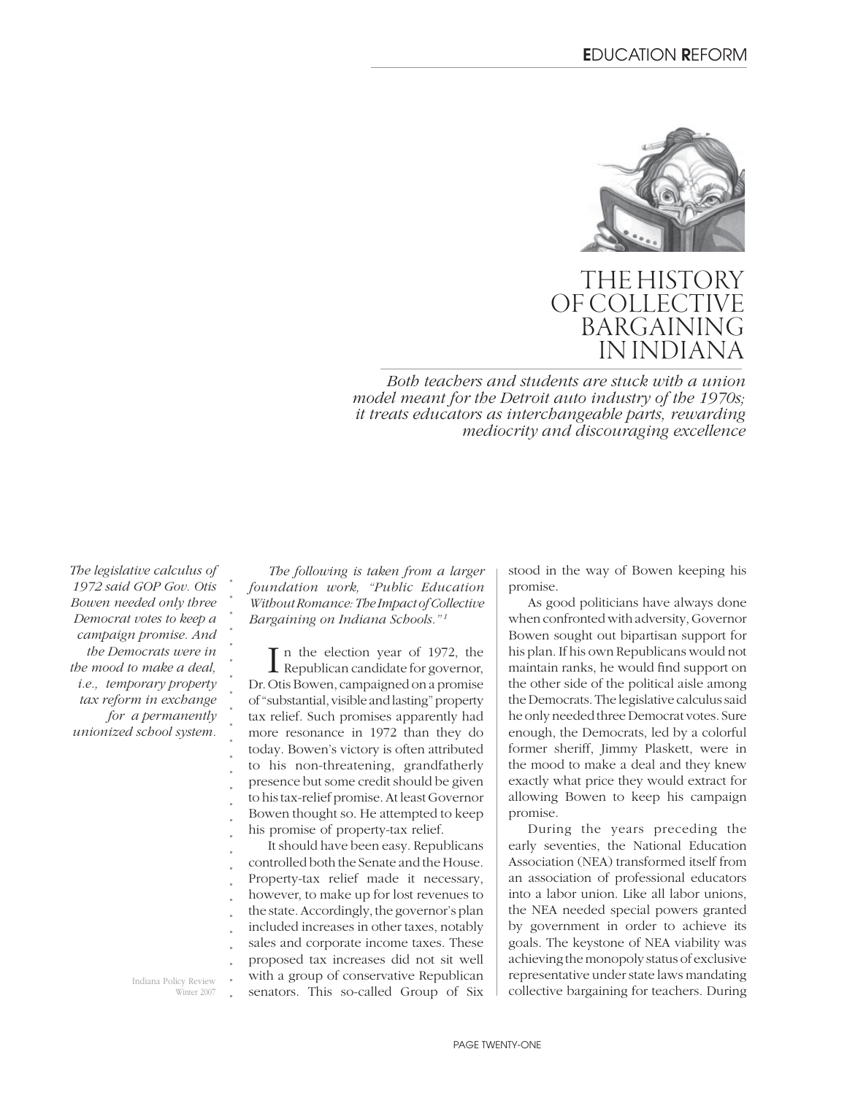

## THE HISTORY OF COLLECTIVE **BARGAININ IN INDIAN**

*Both teachers and students are stuck with a union model meant for the Detroit auto industry of the 1970s; it treats educators as interchangeable parts, rewarding mediocrity and discouraging excellence*

*The legislative calculus of 1972 said GOP Gov. Otis Bowen needed only three Democrat votes to keep a campaign promise. And the Democrats were in the mood to make a deal, i.e., temporary property tax reform in exchange for a permanently unionized school system.*

*. . . . . . . . . . . . . . . .*

Indiana Policy Review Winter 2007

*The following is taken from a larger foundation work, "Public Education Without Romance: The Impact of Collective Bargaining on Indiana Schools." 1*

 $\prod$ n the election year of 1972, the Republican candidate for governor, Republican candidate for governor, Dr. Otis Bowen, campaigned on a promise of "substantial, visible and lasting" property tax relief. Such promises apparently had more resonance in 1972 than they do today. Bowen's victory is often attributed to his non-threatening, grandfatherly presence but some credit should be given to his tax-relief promise. At least Governor Bowen thought so. He attempted to keep his promise of property-tax relief.

*. . . . . . . . . . .* It should have been easy. Republicans controlled both the Senate and the House. Property-tax relief made it necessary, however, to make up for lost revenues to the state. Accordingly, the governor's plan included increases in other taxes, notably sales and corporate income taxes. These proposed tax increases did not sit well with a group of conservative Republican senators. This so-called Group of Six stood in the way of Bowen keeping his promise.

As good politicians have always done when confronted with adversity, Governor Bowen sought out bipartisan support for his plan. If his own Republicans would not maintain ranks, he would find support on the other side of the political aisle among the Democrats. The legislative calculus said he only needed three Democrat votes. Sure enough, the Democrats, led by a colorful former sheriff, Jimmy Plaskett, were in the mood to make a deal and they knew exactly what price they would extract for allowing Bowen to keep his campaign promise.

During the years preceding the early seventies, the National Education Association (NEA) transformed itself from an association of professional educators into a labor union. Like all labor unions, the NEA needed special powers granted by government in order to achieve its goals. The keystone of NEA viability was achieving the monopoly status of exclusive representative under state laws mandating collective bargaining for teachers. During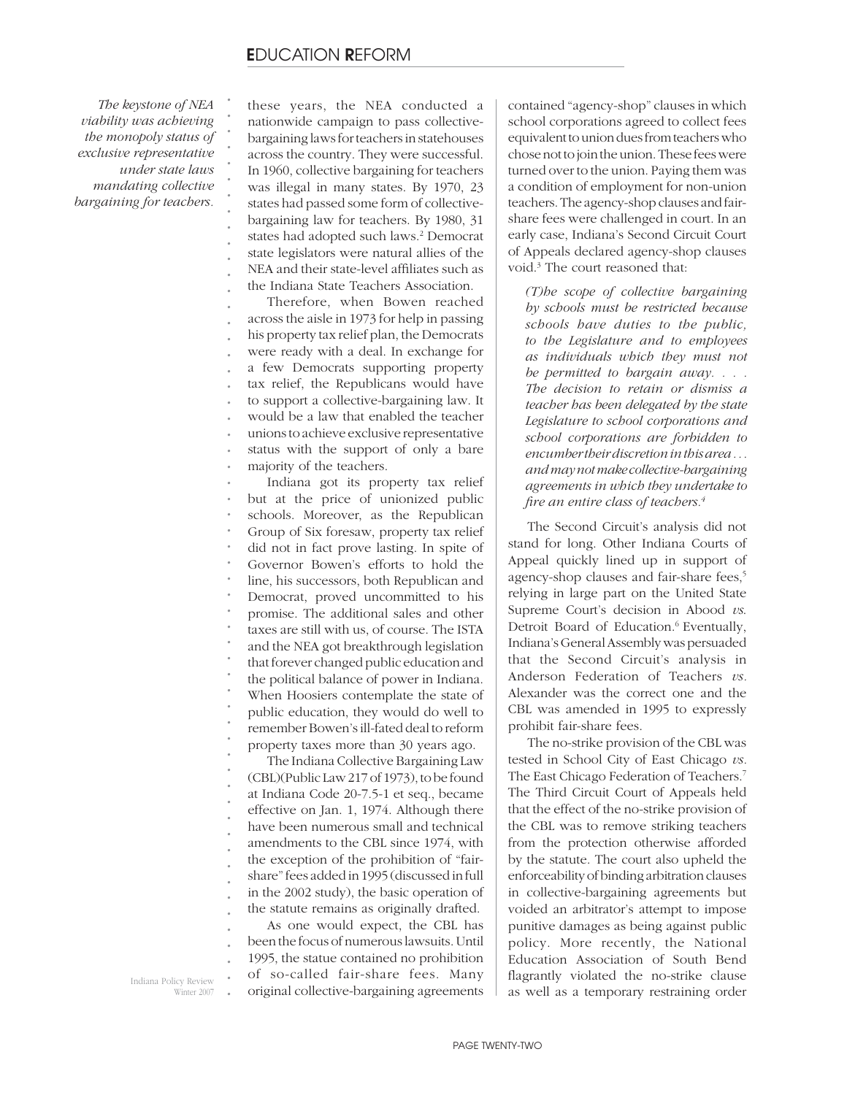*The keystone of NEA viability was achieving the monopoly status of exclusive representative under state laws mandating collective bargaining for teachers.*

*. . . . . . . . . . . .*

these years, the NEA conducted a nationwide campaign to pass collectivebargaining laws for teachers in statehouses across the country. They were successful. In 1960, collective bargaining for teachers was illegal in many states. By 1970, 23 states had passed some form of collectivebargaining law for teachers. By 1980, 31 states had adopted such laws.<sup>2</sup> Democrat state legislators were natural allies of the NEA and their state-level affiliates such as the Indiana State Teachers Association.

*. . . . . . . . . . . .* Therefore, when Bowen reached across the aisle in 1973 for help in passing his property tax relief plan, the Democrats were ready with a deal. In exchange for a few Democrats supporting property tax relief, the Republicans would have to support a collective-bargaining law. It would be a law that enabled the teacher unions to achieve exclusive representative status with the support of only a bare majority of the teachers.

*. . . . . . . . . . . . . . . . . .* Indiana got its property tax relief but at the price of unionized public schools. Moreover, as the Republican Group of Six foresaw, property tax relief did not in fact prove lasting. In spite of Governor Bowen's efforts to hold the line, his successors, both Republican and Democrat, proved uncommitted to his promise. The additional sales and other taxes are still with us, of course. The ISTA and the NEA got breakthrough legislation that forever changed public education and the political balance of power in Indiana. When Hoosiers contemplate the state of public education, they would do well to remember Bowen's ill-fated deal to reform property taxes more than 30 years ago.

The Indiana Collective Bargaining Law (CBL)(Public Law 217 of 1973), to be found at Indiana Code 20-7.5-1 et seq., became effective on Jan. 1, 1974. Although there have been numerous small and technical amendments to the CBL since 1974, with the exception of the prohibition of "fairshare" fees added in 1995 (discussed in full in the 2002 study), the basic operation of the statute remains as originally drafted. As one would expect, the CBL has

*. . . .* been the focus of numerous lawsuits. Until 1995, the statue contained no prohibition of so-called fair-share fees. Many original collective-bargaining agreements contained "agency-shop" clauses in which school corporations agreed to collect fees equivalent to union dues from teachers who chose not to join the union. These fees were turned over to the union. Paying them was a condition of employment for non-union teachers. The agency-shop clauses and fairshare fees were challenged in court. In an early case, Indiana's Second Circuit Court of Appeals declared agency-shop clauses void.3 The court reasoned that:

*(T)he scope of collective bargaining by schools must be restricted because schools have duties to the public, to the Legislature and to employees as individuals which they must not be permitted to bargain away. . . . The decision to retain or dismiss a teacher has been delegated by the state Legislature to school corporations and school corporations are forbidden to encumber their discretion in this area . . . and may not make collective-bargaining agreements in which they undertake to fi re an entire class of teachers.4*

The Second Circuit's analysis did not stand for long. Other Indiana Courts of Appeal quickly lined up in support of agency-shop clauses and fair-share fees,<sup>5</sup> relying in large part on the United State Supreme Court's decision in Abood *vs*. Detroit Board of Education.<sup>6</sup> Eventually, Indiana's General Assembly was persuaded that the Second Circuit's analysis in Anderson Federation of Teachers *vs.*  Alexander was the correct one and the CBL was amended in 1995 to expressly prohibit fair-share fees.

The no-strike provision of the CBL was tested in School City of East Chicago *vs.*  The East Chicago Federation of Teachers.7 The Third Circuit Court of Appeals held that the effect of the no-strike provision of the CBL was to remove striking teachers from the protection otherwise afforded by the statute. The court also upheld the enforceability of binding arbitration clauses in collective-bargaining agreements but voided an arbitrator's attempt to impose punitive damages as being against public policy. More recently, the National Education Association of South Bend flagrantly violated the no-strike clause as well as a temporary restraining order

*.* Indiana Policy Review Winter 2007 *. . . . . . . . . .*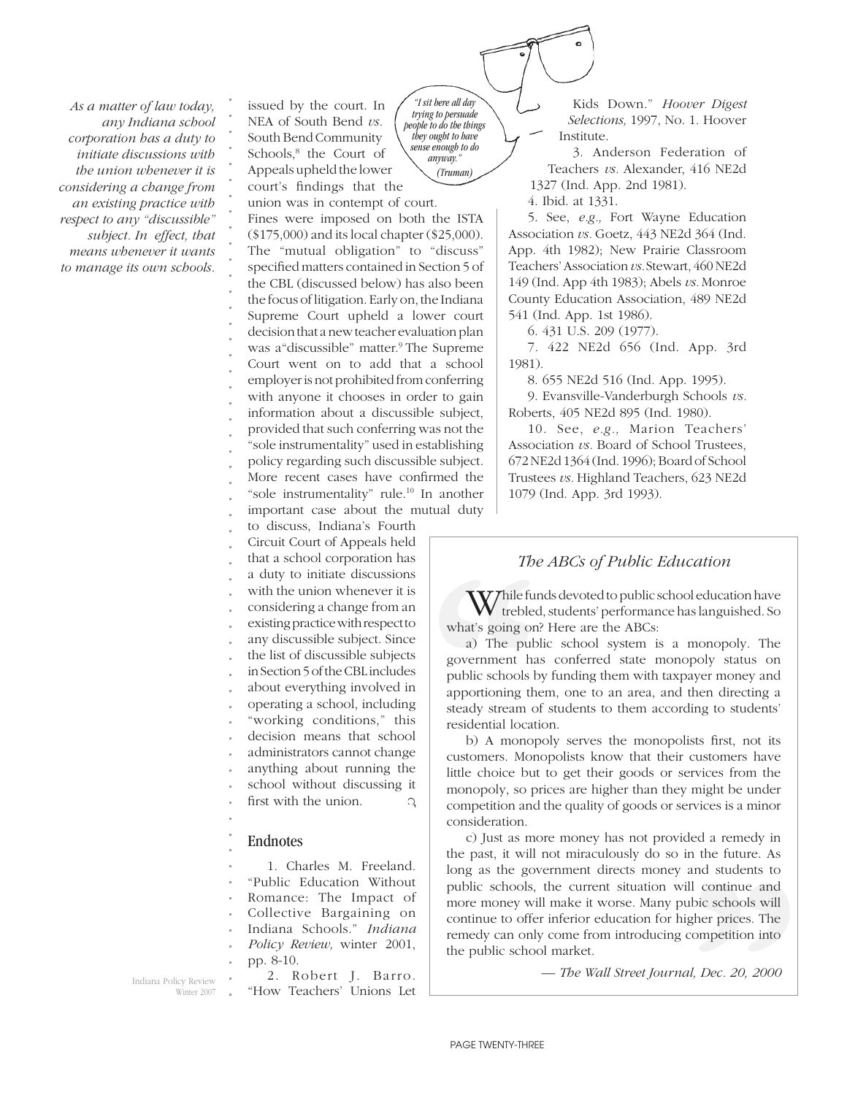*As a matter of law today, any Indiana school corporation has a duty to initiate discussions with the union whenever it is considering a change from an existing practice with respect to any "discussible" subject. In effect, that means whenever it wants to manage its own schools.* 

issued by the court. In NEA of South Bend *vs.* South Bend Community Schools,8 the Court of Appeals upheld the lower court's findings that the union was in contempt of court.

*. . . . . . .*

*. . . . . . . . . . . . . . . . . . . .* Fines were imposed on both the ISTA (\$175,000) and its local chapter (\$25,000). The "mutual obligation" to "discuss" specified matters contained in Section 5 of the CBL (discussed below) has also been the focus of litigation. Early on, the Indiana Supreme Court upheld a lower court decision that a new teacher evaluation plan was a "discussible" matter.<sup>9</sup> The Supreme Court went on to add that a school employer is not prohibited from conferring with anyone it chooses in order to gain information about a discussible subject, provided that such conferring was not the "sole instrumentality" used in establishing policy regarding such discussible subject. More recent cases have confirmed the "sole instrumentality" rule.10 In another important case about the mutual duty

*. . . . . . . . . . . . . .* to discuss, Indiana's Fourth Circuit Court of Appeals held that a school corporation has a duty to initiate discussions with the union whenever it is considering a change from an existing practice with respect to any discussible subject. Since the list of discussible subjects in Section 5 of the CBL includes about everything involved in operating a school, including "working conditions," this decision means that school

*. . .* administrators cannot change anything about running the school without discussing it

*.* first with the union. Q

## Endnotes

*. .*

*.*

*. . . . . . .* 1. Charles M. Freeland. "Public Education Without Romance: The Impact of Collective Bargaining on Indiana Schools." *Indiana Policy Review,* winter 2001,

*. .* pp. 8-10.

Indiana Policy Review Winter 2007

2. Robert J. Barro. "How Teachers' Unions Let

*"I sit here all day trying to persuade people to do the things they ought to have sense enough to do anyway." (Truman)*

Kids Down." *Hoover Digest Selections,* 1997, No. 1. Hoover Institute.

3. Anderson Federation of Teachers *vs.* Alexander, 416 NE2d 1327 (Ind. App. 2nd 1981).

4. Ibid. at 1331.

5. See, *e.g.,* Fort Wayne Education Association *vs.* Goetz, 443 NE2d 364 (Ind. App. 4th 1982); New Prairie Classroom Teachers' Association *vs.* Stewart, 460 NE2d 149 (Ind. App 4th 1983); Abels *vs.* Monroe County Education Association, 489 NE2d 541 (Ind. App. 1st 1986).

6. 431 U.S. 209 (1977).

7. 422 NE2d 656 (Ind. App. 3rd 1981).

8. 655 NE2d 516 (Ind. App. 1995).

9. Evansville-Vanderburgh Schools *vs.*  Roberts, 405 NE2d 895 (Ind. 1980).

10. See, *e.g.,* Marion Teachers' Association *vs.* Board of School Trustees, 672 NE2d 1364 (Ind. 1996); Board of School Trustees *vs.* Highland Teachers, 623 NE2d 1079 (Ind. App. 3rd 1993).

## *The ABCs of Public Education*

Thile funds devoted to public school education have trebled, students' performance has languished. So what's going on? Here are the ABCs:

The<br>
tual duty<br>
tual duty<br>
The<br>
tual duty<br>
The<br>
The<br>
The<br>
The<br>
what's going on<br>
a) The pub<br>
government ha<br>
public schools b<br>
apportioning the<br>
steady stream of<br>
residential location<br>
b) A monop<br>
customers. Mon a) The public school system is a monopoly. The government has conferred state monopoly status on public schools by funding them with taxpayer money and apportioning them, one to an area, and then directing a steady stream of students to them according to students' residential location.

b) A monopoly serves the monopolists first, not its customers. Monopolists know that their customers have little choice but to get their goods or services from the monopoly, so prices are higher than they might be under competition and the quality of goods or services is a minor consideration.

rvices is a minor<br>led a remedy in<br>h the future. As<br>and students to<br>ll continue and<br>blic schools will<br>gher prices. The<br>competition into<br>*il, Dec. 20, 2000* c) Just as more money has not provided a remedy in the past, it will not miraculously do so in the future. As long as the government directs money and students to public schools, the current situation will continue and more money will make it worse. Many pubic schools will continue to offer inferior education for higher prices. The remedy can only come from introducing competition into the public school market.

*— The Wall Street Journal, Dec. 20, 2000*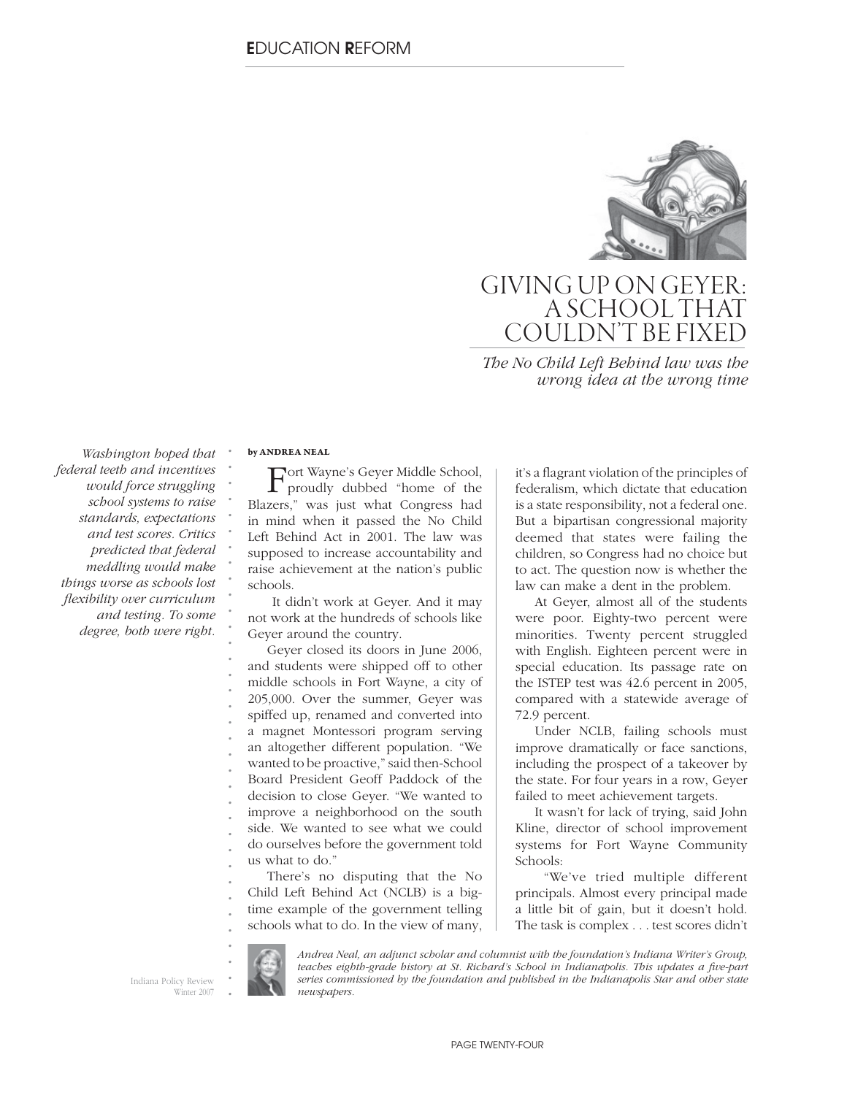

# GIVING UP ON GEYER: A SCHOOL THAT COULDN'T BE FIXED

*The No Child Left Behind law was the wrong idea at the wrong time*

*Washington hoped that federal teeth and incentives would force struggling school systems to raise standards, expectations and test scores. Critics predicted that federal meddling would make things worse as schools lost fl exibility over curriculum and testing. To some degree, both were right.*

#### **by ANDREA NEAL**

*. . . . . . . . . . . . . . . . . . . . . . . . . . . . . . . . . . .*

Fort Wayne's Geyer Middle School, proudly dubbed "home of the Blazers," was just what Congress had in mind when it passed the No Child Left Behind Act in 2001. The law was supposed to increase accountability and raise achievement at the nation's public schools.

 It didn't work at Geyer. And it may not work at the hundreds of schools like Geyer around the country.

Geyer closed its doors in June 2006, and students were shipped off to other middle schools in Fort Wayne, a city of 205,000. Over the summer, Geyer was spiffed up, renamed and converted into a magnet Montessori program serving an altogether different population. "We wanted to be proactive," said then-School Board President Geoff Paddock of the decision to close Geyer. "We wanted to improve a neighborhood on the south side. We wanted to see what we could do ourselves before the government told us what to do."

There's no disputing that the No Child Left Behind Act (NCLB) is a bigtime example of the government telling schools what to do. In the view of many, it's a flagrant violation of the principles of federalism, which dictate that education is a state responsibility, not a federal one. But a bipartisan congressional majority deemed that states were failing the children, so Congress had no choice but to act. The question now is whether the law can make a dent in the problem.

At Geyer, almost all of the students were poor. Eighty-two percent were minorities. Twenty percent struggled with English. Eighteen percent were in special education. Its passage rate on the ISTEP test was 42.6 percent in 2005, compared with a statewide average of 72.9 percent.

Under NCLB, failing schools must improve dramatically or face sanctions, including the prospect of a takeover by the state. For four years in a row, Geyer failed to meet achievement targets.

It wasn't for lack of trying, said John Kline, director of school improvement systems for Fort Wayne Community Schools:

 "We've tried multiple different principals. Almost every principal made a little bit of gain, but it doesn't hold. The task is complex . . . test scores didn't

Indiana Policy Review Winter 2007

*Andrea Neal, an adjunct scholar and columnist with the foundation's Indiana Writer's Group,*  teaches eighth-grade history at St. Richard's School in Indianapolis. This updates a five-part *series commissioned by the foundation and published in the Indianapolis Star and other state newspapers.*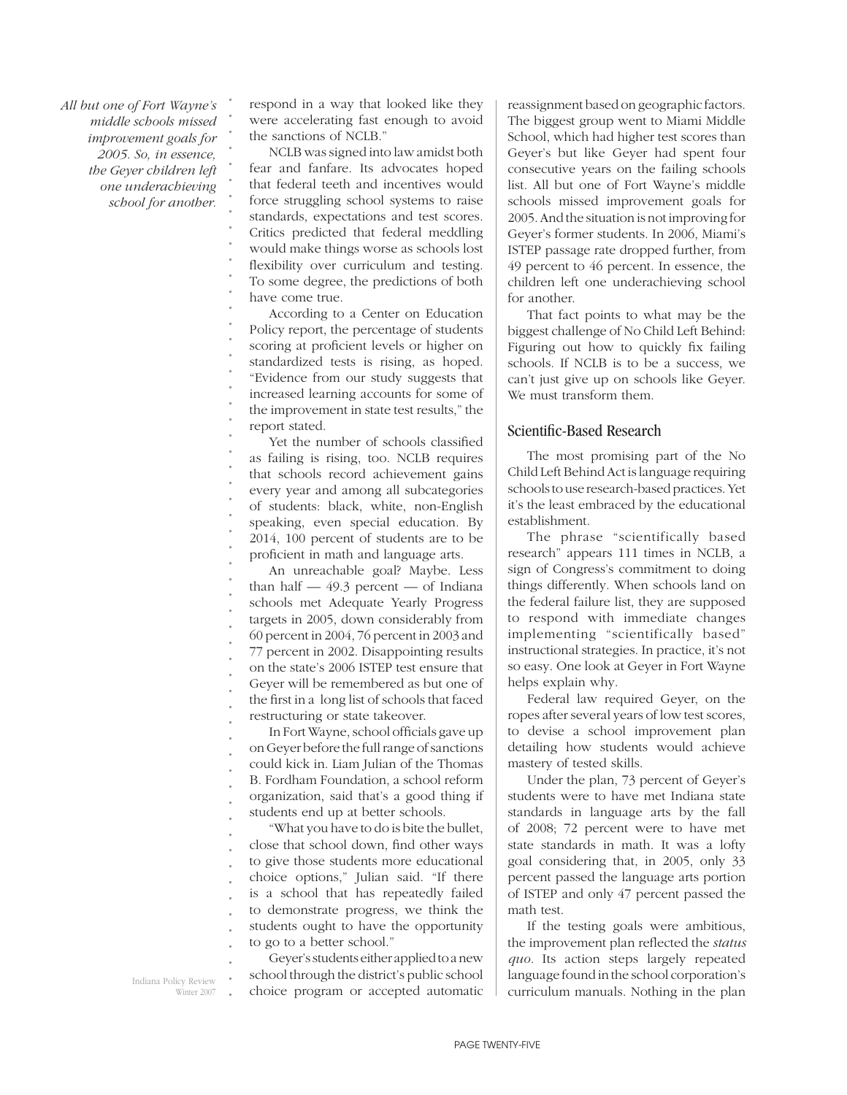*All but one of Fort Wayne's middle schools missed improvement goals for 2005. So, in essence, the Geyer children left one underachieving school for another.*

*. . . . . . . . . . . . . . . . . . . . . . . . . . . . . . . . . . . . . . . . . . . . . . . . . . . . . . . . .*

respond in a way that looked like they were accelerating fast enough to avoid the sanctions of NCLB."

NCLB was signed into law amidst both fear and fanfare. Its advocates hoped that federal teeth and incentives would force struggling school systems to raise standards, expectations and test scores. Critics predicted that federal meddling would make things worse as schools lost flexibility over curriculum and testing. To some degree, the predictions of both have come true.

According to a Center on Education Policy report, the percentage of students scoring at proficient levels or higher on standardized tests is rising, as hoped. "Evidence from our study suggests that increased learning accounts for some of the improvement in state test results," the report stated.

Yet the number of schools classified as failing is rising, too. NCLB requires that schools record achievement gains every year and among all subcategories of students: black, white, non-English speaking, even special education. By 2014, 100 percent of students are to be proficient in math and language arts.

An unreachable goal? Maybe. Less than half  $-49.3$  percent  $-$  of Indiana schools met Adequate Yearly Progress targets in 2005, down considerably from 60 percent in 2004, 76 percent in 2003 and 77 percent in 2002. Disappointing results on the state's 2006 ISTEP test ensure that Geyer will be remembered as but one of the first in a long list of schools that faced restructuring or state takeover.

In Fort Wayne, school officials gave up on Geyer before the full range of sanctions could kick in. Liam Julian of the Thomas B. Fordham Foundation, a school reform organization, said that's a good thing if students end up at better schools.

"What you have to do is bite the bullet, close that school down, find other ways to give those students more educational choice options," Julian said. "If there is a school that has repeatedly failed to demonstrate progress, we think the students ought to have the opportunity to go to a better school."

Geyer's students either applied to a new school through the district's public school choice program or accepted automatic reassignment based on geographic factors. The biggest group went to Miami Middle School, which had higher test scores than Geyer's but like Geyer had spent four consecutive years on the failing schools list. All but one of Fort Wayne's middle schools missed improvement goals for 2005. And the situation is not improving for Geyer's former students. In 2006, Miami's ISTEP passage rate dropped further, from 49 percent to 46 percent. In essence, the children left one underachieving school for another.

That fact points to what may be the biggest challenge of No Child Left Behind: Figuring out how to quickly fix failing schools. If NCLB is to be a success, we can't just give up on schools like Geyer. We must transform them.

### Scientific-Based Research

The most promising part of the No Child Left Behind Act is language requiring schools to use research-based practices. Yet it's the least embraced by the educational establishment.

The phrase "scientifically based research" appears 111 times in NCLB, a sign of Congress's commitment to doing things differently. When schools land on the federal failure list, they are supposed to respond with immediate changes implementing "scientifically based" instructional strategies. In practice, it's not so easy. One look at Geyer in Fort Wayne helps explain why.

Federal law required Geyer, on the ropes after several years of low test scores, to devise a school improvement plan detailing how students would achieve mastery of tested skills.

Under the plan, 73 percent of Geyer's students were to have met Indiana state standards in language arts by the fall of 2008; 72 percent were to have met state standards in math. It was a lofty goal considering that, in 2005, only 33 percent passed the language arts portion of ISTEP and only 47 percent passed the math test.

If the testing goals were ambitious, the improvement plan reflected the *status quo.* Its action steps largely repeated language found in the school corporation's curriculum manuals. Nothing in the plan

Indiana Policy Review Winter 2007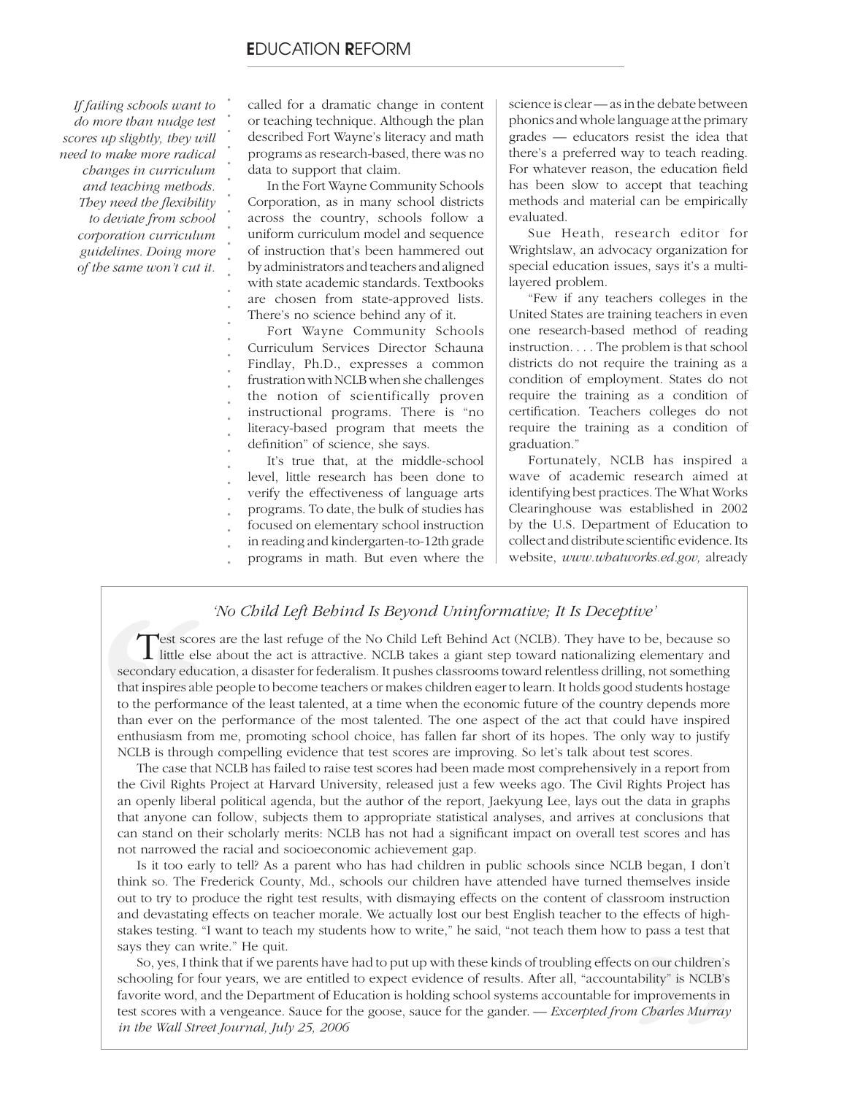*. . . . . . . . . . . . . .*

*If failing schools want to do more than nudge test scores up slightly, they will need to make more radical changes in curriculum and teaching methods.*  **They need the flexibility** *to deviate from school corporation curriculum guidelines. Doing more of the same won't cut it.*

called for a dramatic change in content or teaching technique. Although the plan described Fort Wayne's literacy and math programs as research-based, there was no data to support that claim.

In the Fort Wayne Community Schools Corporation, as in many school districts across the country, schools follow a uniform curriculum model and sequence of instruction that's been hammered out by administrators and teachers and aligned with state academic standards. Textbooks are chosen from state-approved lists. There's no science behind any of it.

*. . . . . . . . .* Fort Wayne Community Schools Curriculum Services Director Schauna Findlay, Ph.D., expresses a common frustration with NCLB when she challenges the notion of scientifically proven instructional programs. There is "no literacy-based program that meets the definition" of science, she says.

*. . . . .* It's true that, at the middle-school level, little research has been done to verify the effectiveness of language arts programs. To date, the bulk of studies has focused on elementary school instruction

- 
- *. .* in reading and kindergarten-to-12th grade programs in math. But even where the

science is clear — as in the debate between phonics and whole language at the primary grades — educators resist the idea that there's a preferred way to teach reading. For whatever reason, the education field has been slow to accept that teaching methods and material can be empirically evaluated.

Sue Heath, research editor for Wrightslaw, an advocacy organization for special education issues, says it's a multilayered problem.

"Few if any teachers colleges in the United States are training teachers in even one research-based method of reading instruction. . . . The problem is that school districts do not require the training as a condition of employment. States do not require the training as a condition of certification. Teachers colleges do not require the training as a condition of graduation."

Fortunately, NCLB has inspired a wave of academic research aimed at identifying best practices. The What Works Clearinghouse was established in 2002 by the U.S. Department of Education to collect and distribute scientific evidence. Its website, *www.whatworks.ed.gov,* already

### *'No Child Left Behind Is Beyond Uninformative; It Is Deceptive'*

**Test score**<br> **Contains in the secondary educe**<br>
to the performan<br>
than ever on the<br>
enthusiasm from<br>
NCLB is through<br>
The case that<br>
the Civil Rights<br>
an openly liberal Test scores are the last refuge of the No Child Left Behind Act (NCLB). They have to be, because so little else about the act is attractive. NCLB takes a giant step toward nationalizing elementary and secondary education, a disaster for federalism. It pushes classrooms toward relentless drilling, not something that inspires able people to become teachers or makes children eager to learn. It holds good students hostage to the performance of the least talented, at a time when the economic future of the country depends more than ever on the performance of the most talented. The one aspect of the act that could have inspired enthusiasm from me, promoting school choice, has fallen far short of its hopes. The only way to justify NCLB is through compelling evidence that test scores are improving. So let's talk about test scores.

The case that NCLB has failed to raise test scores had been made most comprehensively in a report from the Civil Rights Project at Harvard University, released just a few weeks ago. The Civil Rights Project has an openly liberal political agenda, but the author of the report, Jaekyung Lee, lays out the data in graphs that anyone can follow, subjects them to appropriate statistical analyses, and arrives at conclusions that can stand on their scholarly merits: NCLB has not had a significant impact on overall test scores and has not narrowed the racial and socioeconomic achievement gap.

Example 18 Degan, 1 don't<br>themselves inside<br>sroom instruction<br>ne effects of high-<br>to pass a test that<br>s on our children's<br>tability" is NCLB's<br>improvements in<br>m Charles Murray Is it too early to tell? As a parent who has had children in public schools since NCLB began, I don't think so. The Frederick County, Md., schools our children have attended have turned themselves inside out to try to produce the right test results, with dismaying effects on the content of classroom instruction and devastating effects on teacher morale. We actually lost our best English teacher to the effects of highstakes testing. "I want to teach my students how to write," he said, "not teach them how to pass a test that says they can write." He quit.

So, yes, I think that if we parents have had to put up with these kinds of troubling effects on our children's schooling for four years, we are entitled to expect evidence of results. After all, "accountability" is NCLB's favorite word, and the Department of Education is holding school systems accountable for improvements in test scores with a vengeance. Sauce for the goose, sauce for the gander. *— Excerpted from Charles Murray in the Wall Street Journal, July 25, 2006*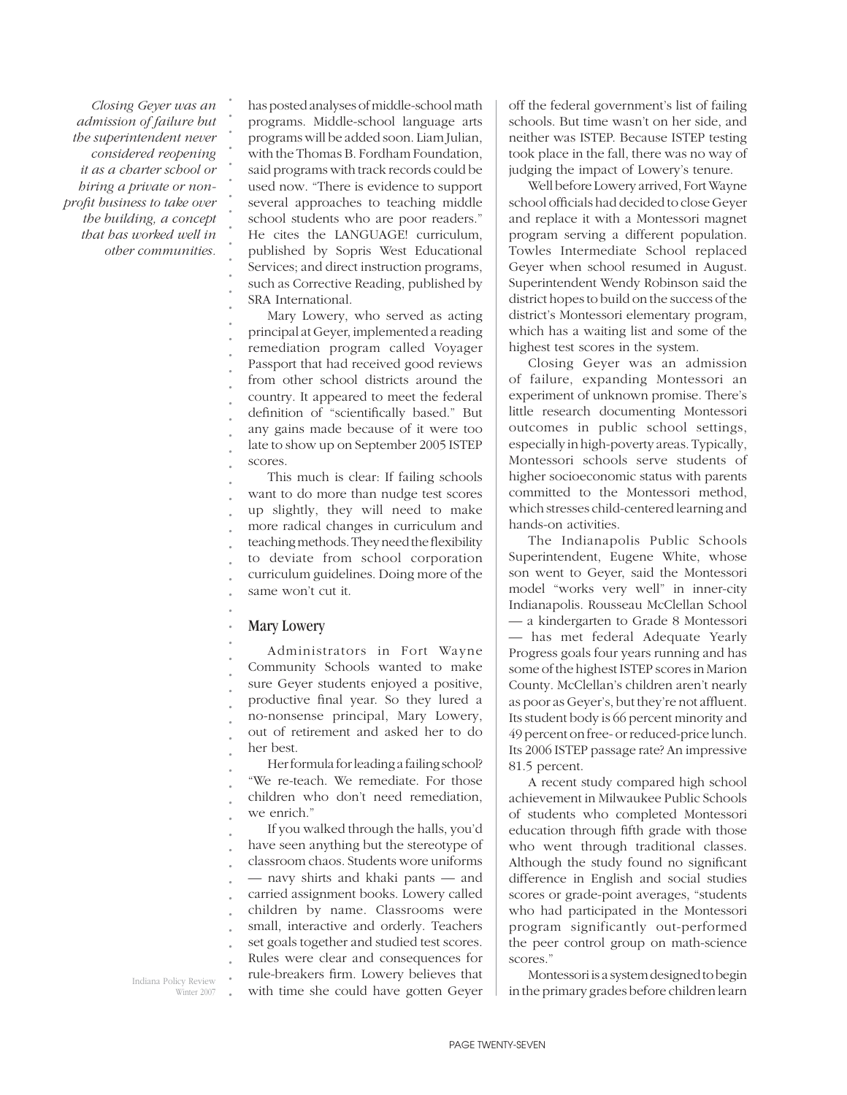*Closing Geyer was an admission of failure but the superintendent never considered reopening it as a charter school or hiring a private or nonprofi t business to take over the building, a concept that has worked well in other communities.* *. . . . . . . . . . . . . . . . . . . . . . .*

has posted analyses of middle-school math programs. Middle-school language arts programs will be added soon. Liam Julian, with the Thomas B. Fordham Foundation, said programs with track records could be used now. "There is evidence to support several approaches to teaching middle school students who are poor readers." He cites the LANGUAGE! curriculum, published by Sopris West Educational Services; and direct instruction programs, such as Corrective Reading, published by SRA International.

Mary Lowery, who served as acting principal at Geyer, implemented a reading remediation program called Voyager Passport that had received good reviews from other school districts around the country. It appeared to meet the federal definition of "scientifically based." But any gains made because of it were too late to show up on September 2005 ISTEP scores.

*. . . . . . . . . .* This much is clear: If failing schools want to do more than nudge test scores up slightly, they will need to make more radical changes in curriculum and teaching methods. They need the flexibility to deviate from school corporation curriculum guidelines. Doing more of the same won't cut it.

#### *. .* Mary Lowery

*. . . . . . . . . .*

Administrators in Fort Wayne Community Schools wanted to make sure Geyer students enjoyed a positive, productive final year. So they lured a no-nonsense principal, Mary Lowery, out of retirement and asked her to do her best.

Her formula for leading a failing school? "We re-teach. We remediate. For those children who don't need remediation, we enrich."

*. . . . . . . . . . . .* If you walked through the halls, you'd have seen anything but the stereotype of classroom chaos. Students wore uniforms — navy shirts and khaki pants — and carried assignment books. Lowery called children by name. Classrooms were small, interactive and orderly. Teachers set goals together and studied test scores. Rules were clear and consequences for rule-breakers firm. Lowery believes that with time she could have gotten Geyer off the federal government's list of failing schools. But time wasn't on her side, and neither was ISTEP. Because ISTEP testing took place in the fall, there was no way of judging the impact of Lowery's tenure.

Well before Lowery arrived, Fort Wayne school officials had decided to close Geyer and replace it with a Montessori magnet program serving a different population. Towles Intermediate School replaced Geyer when school resumed in August. Superintendent Wendy Robinson said the district hopes to build on the success of the district's Montessori elementary program, which has a waiting list and some of the highest test scores in the system.

Closing Geyer was an admission of failure, expanding Montessori an experiment of unknown promise. There's little research documenting Montessori outcomes in public school settings, especially in high-poverty areas. Typically, Montessori schools serve students of higher socioeconomic status with parents committed to the Montessori method, which stresses child-centered learning and hands-on activities.

The Indianapolis Public Schools Superintendent, Eugene White, whose son went to Geyer, said the Montessori model "works very well" in inner-city Indianapolis. Rousseau McClellan School — a kindergarten to Grade 8 Montessori — has met federal Adequate Yearly Progress goals four years running and has some of the highest ISTEP scores in Marion County. McClellan's children aren't nearly as poor as Geyer's, but they're not affluent. Its student body is 66 percent minority and 49 percent on free- or reduced-price lunch. Its 2006 ISTEP passage rate? An impressive 81.5 percent.

A recent study compared high school achievement in Milwaukee Public Schools of students who completed Montessori education through fifth grade with those who went through traditional classes. Although the study found no significant difference in English and social studies scores or grade-point averages, "students who had participated in the Montessori program significantly out-performed the peer control group on math-science scores."

Montessori is a system designed to begin in the primary grades before children learn

Indiana Policy Review Winter 2007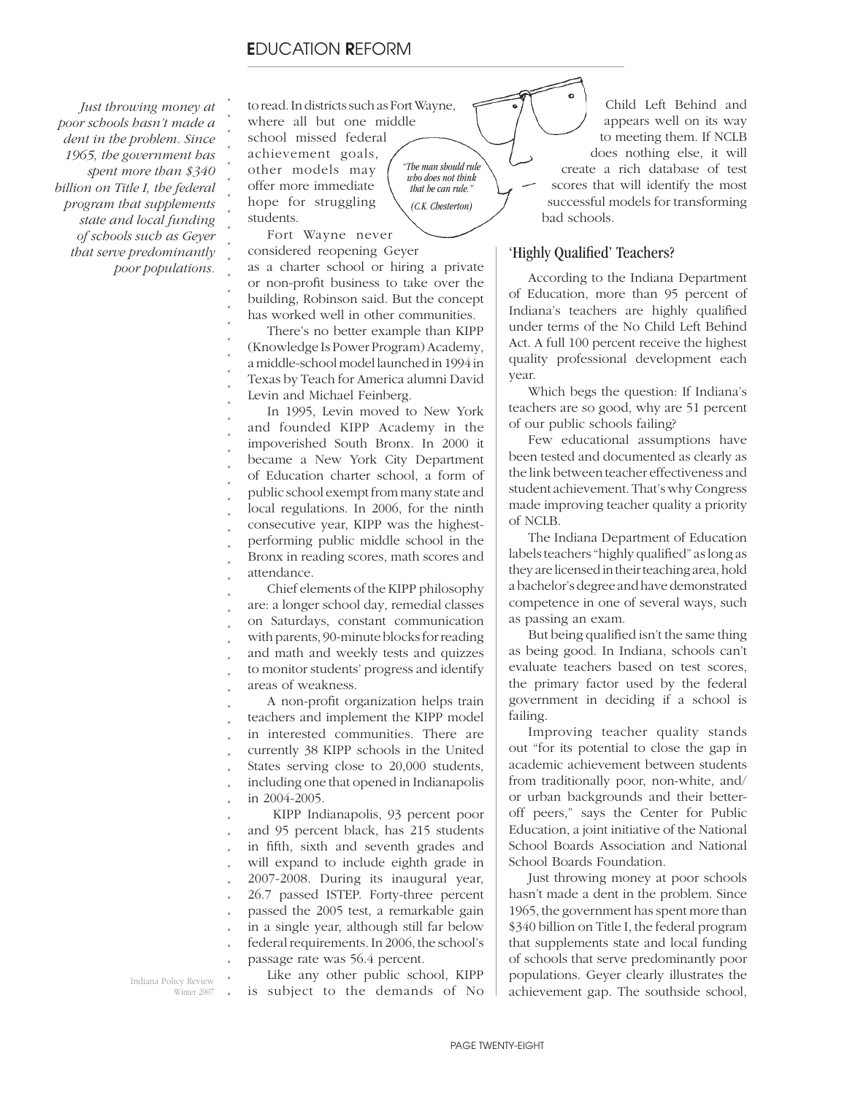*Just throwing money at poor schools hasn't made a dent in the problem. Since 1965, the government has spent more than \$340 billion on Title I, the federal program that supplements state and local funding of schools such as Geyer that serve predominantly poor populations.*

to read. In districts such as Fort Wayne, where all but one middle

school missed federal achievement goals, other models may offer more immediate hope for struggling students.

*. . . . . . . . . . . . . . . . . . . . . . . . . . . . . . .*

*"The man should rule who does not think that he can rule." (C.K. Chesterton)*

Fort Wayne never considered reopening Geyer as a charter school or hiring a private or non-profit business to take over the building, Robinson said. But the concept has worked well in other communities.

There's no better example than KIPP (Knowledge Is Power Program) Academy, a middle-school model launched in 1994 in Texas by Teach for America alumni David Levin and Michael Feinberg.

In 1995, Levin moved to New York and founded KIPP Academy in the impoverished South Bronx. In 2000 it became a New York City Department of Education charter school, a form of public school exempt from many state and local regulations. In 2006, for the ninth consecutive year, KIPP was the highestperforming public middle school in the Bronx in reading scores, math scores and attendance.

*. . . . . . .* Chief elements of the KIPP philosophy are: a longer school day, remedial classes on Saturdays, constant communication with parents, 90-minute blocks for reading and math and weekly tests and quizzes to monitor students' progress and identify areas of weakness.

*. . . . . . .* A non-profit organization helps train teachers and implement the KIPP model in interested communities. There are currently 38 KIPP schools in the United States serving close to 20,000 students, including one that opened in Indianapolis in 2004-2005.

*. . . . . . . . . .* KIPP Indianapolis, 93 percent poor and 95 percent black, has 215 students in fifth, sixth and seventh grades and will expand to include eighth grade in 2007-2008. During its inaugural year, 26.7 passed ISTEP. Forty-three percent passed the 2005 test, a remarkable gain in a single year, although still far below federal requirements. In 2006, the school's passage rate was 56.4 percent.

*.* Indiana Policy Review Winter 2007 *.* Like any other public school, KIPP is subject to the demands of No

Child Left Behind and appears well on its way to meeting them. If NCLB does nothing else, it will create a rich database of test scores that will identify the most successful models for transforming bad schools.

### 'Highly Qualified' Teachers?

According to the Indiana Department of Education, more than 95 percent of Indiana's teachers are highly qualified under terms of the No Child Left Behind Act. A full 100 percent receive the highest quality professional development each year.

Which begs the question: If Indiana's teachers are so good, why are 51 percent of our public schools failing?

Few educational assumptions have been tested and documented as clearly as the link between teacher effectiveness and student achievement. That's why Congress made improving teacher quality a priority of NCLB.

The Indiana Department of Education labels teachers "highly qualified" as long as they are licensed in their teaching area, hold a bachelor's degree and have demonstrated competence in one of several ways, such as passing an exam.

But being qualified isn't the same thing as being good. In Indiana, schools can't evaluate teachers based on test scores, the primary factor used by the federal government in deciding if a school is failing.

Improving teacher quality stands out "for its potential to close the gap in academic achievement between students from traditionally poor, non-white, and/ or urban backgrounds and their betteroff peers," says the Center for Public Education, a joint initiative of the National School Boards Association and National School Boards Foundation.

Just throwing money at poor schools hasn't made a dent in the problem. Since 1965, the government has spent more than \$340 billion on Title I, the federal program that supplements state and local funding of schools that serve predominantly poor populations. Geyer clearly illustrates the achievement gap. The southside school,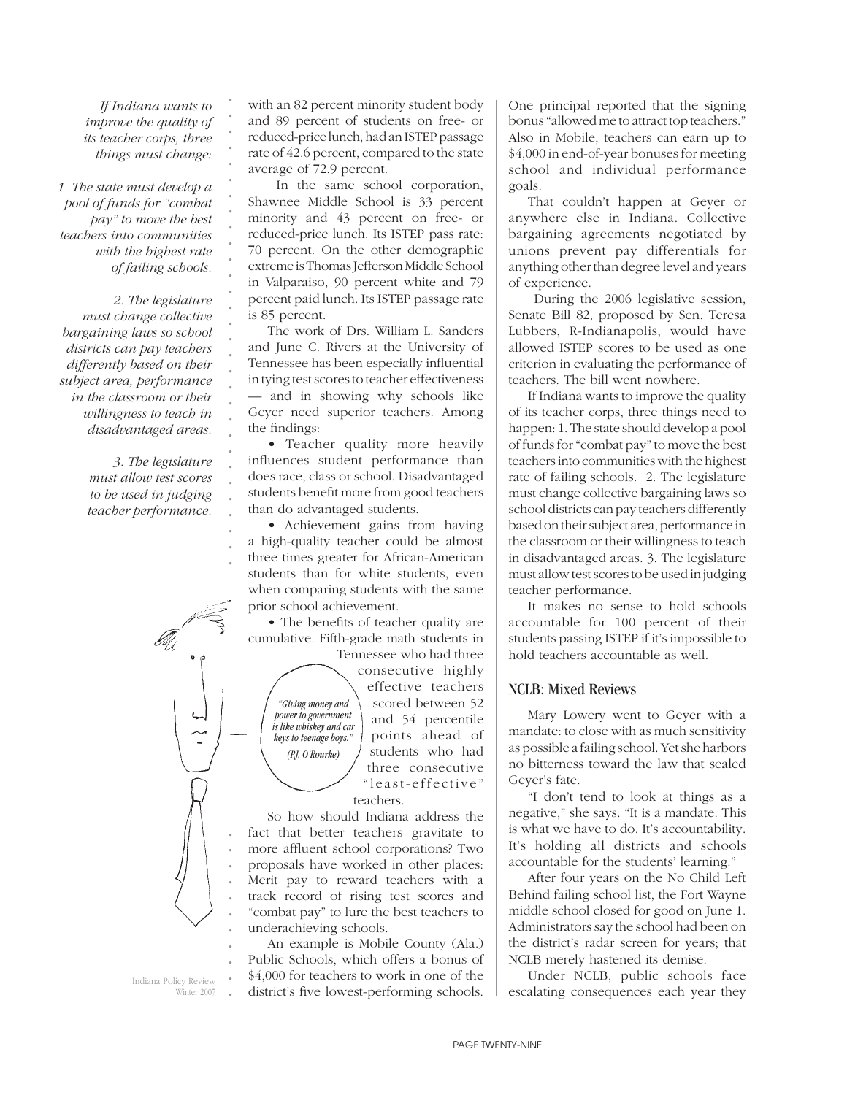*If Indiana wants to improve the quality of its teacher corps, three things must change:* 

*. . . . . . . . . . . . . . . . . . . . . . . . . . . . . .*

*1. The state must develop a pool of funds for "combat pay" to move the best teachers into communities with the highest rate of failing schools.* 

*2. The legislature must change collective bargaining laws so school districts can pay teachers differently based on their subject area, performance in the classroom or their willingness to teach in disadvantaged areas.* 

> *3. The legislature must allow test scores to be used in judging teacher performance.*

with an 82 percent minority student body and 89 percent of students on free- or reduced-price lunch, had an ISTEP passage rate of 42.6 percent, compared to the state average of 72.9 percent.

 In the same school corporation, Shawnee Middle School is 33 percent minority and 43 percent on free- or reduced-price lunch. Its ISTEP pass rate: 70 percent. On the other demographic extreme is Thomas Jefferson Middle School in Valparaiso, 90 percent white and 79 percent paid lunch. Its ISTEP passage rate is 85 percent.

The work of Drs. William L. Sanders and June C. Rivers at the University of Tennessee has been especially influential in tying test scores to teacher effectiveness — and in showing why schools like Geyer need superior teachers. Among the findings:

• Teacher quality more heavily influences student performance than does race, class or school. Disadvantaged students benefit more from good teachers than do advantaged students.

• Achievement gains from having a high-quality teacher could be almost three times greater for African-American students than for white students, even when comparing students with the same prior school achievement.

• The benefits of teacher quality are cumulative. Fifth-grade math students in Tennessee who had three

*"Giving money and power to government is like whiskey and car keys to teenage boys." (P.J. O'Rourke)*

consecutive highly effective teachers scored between 52 and 54 percentile points ahead of students who had three consecutive "least-effective" teachers.

So how should Indiana address the fact that better teachers gravitate to more affluent school corporations? Two proposals have worked in other places: Merit pay to reward teachers with a track record of rising test scores and "combat pay" to lure the best teachers to underachieving schools.

*. . . . .* An example is Mobile County (Ala.) Public Schools, which offers a bonus of \$4,000 for teachers to work in one of the district's five lowest-performing schools. One principal reported that the signing bonus "allowed me to attract top teachers." Also in Mobile, teachers can earn up to \$4,000 in end-of-year bonuses for meeting school and individual performance goals.

That couldn't happen at Geyer or anywhere else in Indiana. Collective bargaining agreements negotiated by unions prevent pay differentials for anything other than degree level and years of experience.

 During the 2006 legislative session, Senate Bill 82, proposed by Sen. Teresa Lubbers, R-Indianapolis, would have allowed ISTEP scores to be used as one criterion in evaluating the performance of teachers. The bill went nowhere.

If Indiana wants to improve the quality of its teacher corps, three things need to happen: 1. The state should develop a pool of funds for "combat pay" to move the best teachers into communities with the highest rate of failing schools. 2. The legislature must change collective bargaining laws so school districts can pay teachers differently based on their subject area, performance in the classroom or their willingness to teach in disadvantaged areas. 3. The legislature must allow test scores to be used in judging teacher performance.

It makes no sense to hold schools accountable for 100 percent of their students passing ISTEP if it's impossible to hold teachers accountable as well.

### NCLB: Mixed Reviews

Mary Lowery went to Geyer with a mandate: to close with as much sensitivity as possible a failing school. Yet she harbors no bitterness toward the law that sealed Geyer's fate.

"I don't tend to look at things as a negative," she says. "It is a mandate. This is what we have to do. It's accountability. It's holding all districts and schools accountable for the students' learning."

After four years on the No Child Left Behind failing school list, the Fort Wayne middle school closed for good on June 1. Administrators say the school had been on the district's radar screen for years; that NCLB merely hastened its demise.

Under NCLB, public schools face escalating consequences each year they

Indiana Policy Review Winter 2007 *.*

*. . . . . .*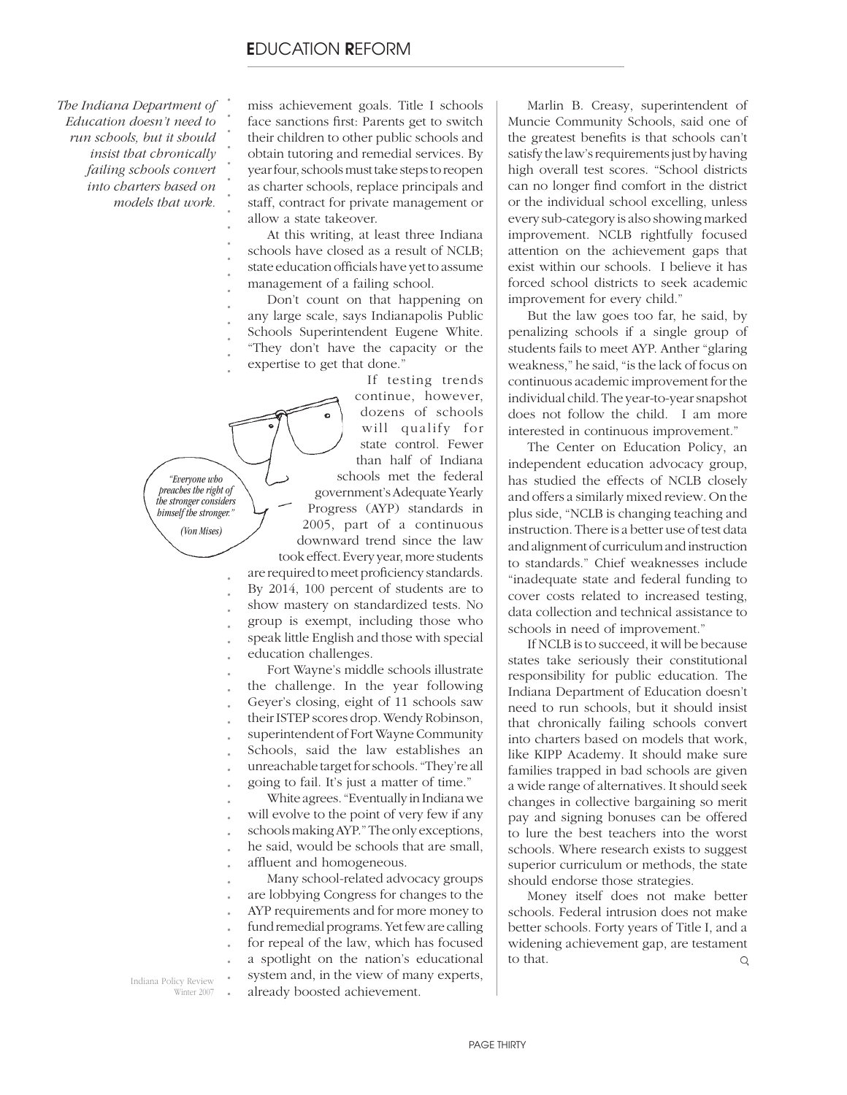*The Indiana Department of Education doesn't need to run schools, but it should insist that chronically failing schools convert into charters based on models that work.*

*. . . . . . . . . . . . . . . . . .*

miss achievement goals. Title I schools face sanctions first: Parents get to switch their children to other public schools and obtain tutoring and remedial services. By year four, schools must take steps to reopen as charter schools, replace principals and staff, contract for private management or allow a state takeover.

At this writing, at least three Indiana schools have closed as a result of NCLB; state education officials have yet to assume management of a failing school.

Don't count on that happening on any large scale, says Indianapolis Public Schools Superintendent Eugene White. "They don't have the capacity or the expertise to get that done."

*. preaches the right of . the stronger considers . himself the stronger." . "Everyone who (Von Mises)*

*. . . .*

*. . . . . . . . . . . . . . .*

If testing trends continue, however, dozens of schools will qualify for state control. Fewer than half of Indiana schools met the federal government's Adequate Yearly Progress (AYP) standards in 2005, part of a continuous downward trend since the law took effect. Every year, more students are required to meet proficiency standards. By 2014, 100 percent of students are to show mastery on standardized tests. No group is exempt, including those who speak little English and those with special education challenges.

Fort Wayne's middle schools illustrate the challenge. In the year following Geyer's closing, eight of 11 schools saw their ISTEP scores drop. Wendy Robinson, superintendent of Fort Wayne Community Schools, said the law establishes an unreachable target for schools. "They're all going to fail. It's just a matter of time." White agrees. "Eventually in Indiana we

*. . . .* will evolve to the point of very few if any schools making AYP." The only exceptions, he said, would be schools that are small, affluent and homogeneous. Many school-related advocacy groups

*. . .* are lobbying Congress for changes to the AYP requirements and for more money to

*. . . .* fund remedial programs. Yet few are calling for repeal of the law, which has focused a spotlight on the nation's educational system and, in the view of many experts,

already boosted achievement.

*.* Indiana Policy Review Winter 2007

Marlin B. Creasy, superintendent of Muncie Community Schools, said one of the greatest benefits is that schools can't satisfy the law's requirements just by having high overall test scores. "School districts can no longer find comfort in the district or the individual school excelling, unless every sub-category is also showing marked improvement. NCLB rightfully focused attention on the achievement gaps that exist within our schools. I believe it has forced school districts to seek academic improvement for every child."

But the law goes too far, he said, by penalizing schools if a single group of students fails to meet AYP. Anther "glaring weakness," he said, "is the lack of focus on continuous academic improvement for the individual child. The year-to-year snapshot does not follow the child. I am more interested in continuous improvement."

The Center on Education Policy, an independent education advocacy group, has studied the effects of NCLB closely and offers a similarly mixed review. On the plus side, "NCLB is changing teaching and instruction. There is a better use of test data and alignment of curriculum and instruction to standards." Chief weaknesses include "inadequate state and federal funding to cover costs related to increased testing, data collection and technical assistance to schools in need of improvement."

If NCLB is to succeed, it will be because states take seriously their constitutional responsibility for public education. The Indiana Department of Education doesn't need to run schools, but it should insist that chronically failing schools convert into charters based on models that work, like KIPP Academy. It should make sure families trapped in bad schools are given a wide range of alternatives. It should seek changes in collective bargaining so merit pay and signing bonuses can be offered to lure the best teachers into the worst schools. Where research exists to suggest superior curriculum or methods, the state should endorse those strategies.

Money itself does not make better schools. Federal intrusion does not make better schools. Forty years of Title I, and a widening achievement gap, are testament to that. Q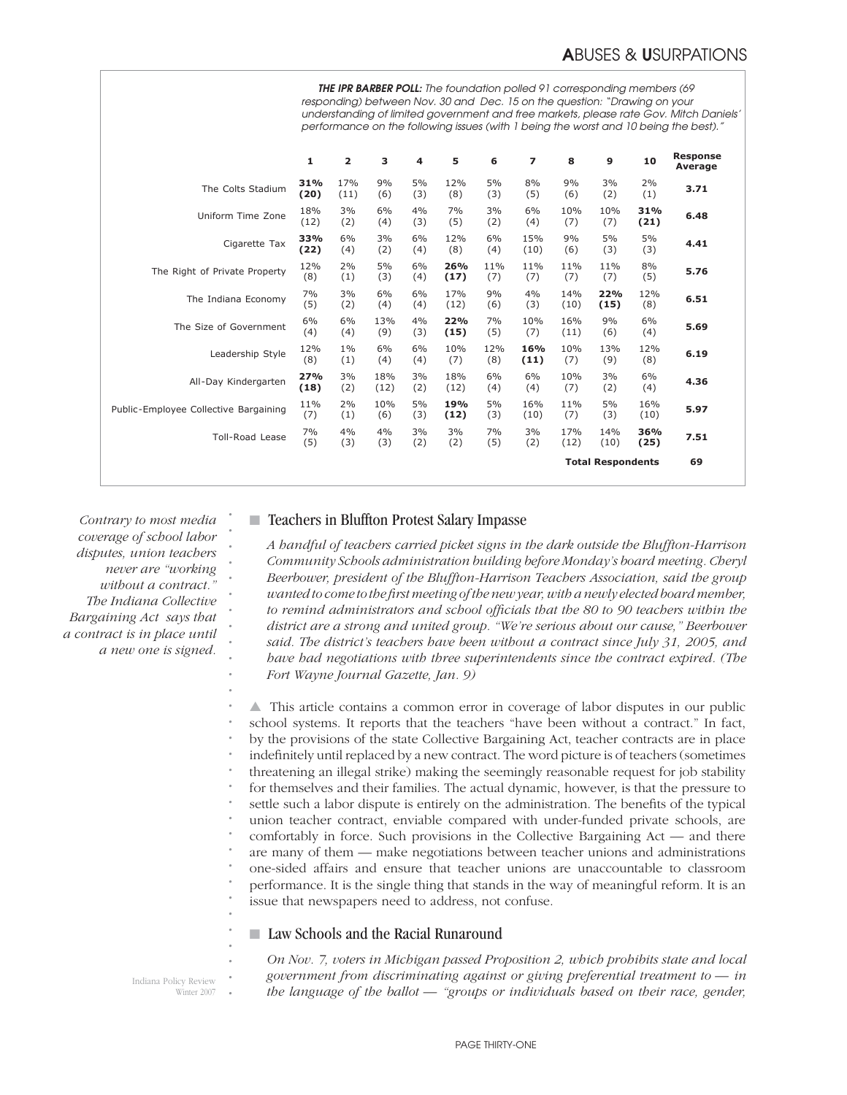|                                       | THE IPR BARBER POLL: The foundation polled 91 corresponding members (69<br>responding) between Nov. 30 and Dec. 15 on the question: "Drawing on your<br>understanding of limited government and free markets, please rate Gov. Mitch Daniels'<br>performance on the following issues (with 1 being the worst and 10 being the best)." |                         |             |           |             |            |                |             |                          |             |                            |
|---------------------------------------|---------------------------------------------------------------------------------------------------------------------------------------------------------------------------------------------------------------------------------------------------------------------------------------------------------------------------------------|-------------------------|-------------|-----------|-------------|------------|----------------|-------------|--------------------------|-------------|----------------------------|
|                                       | 1                                                                                                                                                                                                                                                                                                                                     | $\overline{\mathbf{2}}$ | з           | 4         | 5           | 6          | $\overline{z}$ | 8           | 9                        | 10          | <b>Response</b><br>Average |
| The Colts Stadium                     | 31%<br>(20)                                                                                                                                                                                                                                                                                                                           | 17%<br>(11)             | 9%<br>(6)   | 5%<br>(3) | 12%<br>(8)  | 5%<br>(3)  | 8%<br>(5)      | 9%<br>(6)   | 3%<br>(2)                | 2%<br>(1)   | 3.71                       |
| Uniform Time Zone                     | 18%<br>(12)                                                                                                                                                                                                                                                                                                                           | 3%<br>(2)               | 6%<br>(4)   | 4%<br>(3) | 7%<br>(5)   | 3%<br>(2)  | 6%<br>(4)      | 10%<br>(7)  | 10%<br>(7)               | 31%<br>(21) | 6.48                       |
| Cigarette Tax                         | 33%<br>(22)                                                                                                                                                                                                                                                                                                                           | 6%<br>(4)               | 3%<br>(2)   | 6%<br>(4) | 12%<br>(8)  | 6%<br>(4)  | 15%<br>(10)    | 9%<br>(6)   | 5%<br>(3)                | 5%<br>(3)   | 4.41                       |
| The Right of Private Property         | 12%<br>(8)                                                                                                                                                                                                                                                                                                                            | 2%<br>(1)               | 5%<br>(3)   | 6%<br>(4) | 26%<br>(17) | 11%<br>(7) | 11%<br>(7)     | 11%<br>(7)  | 11%<br>(7)               | 8%<br>(5)   | 5.76                       |
| The Indiana Economy                   | 7%<br>(5)                                                                                                                                                                                                                                                                                                                             | 3%<br>(2)               | 6%<br>(4)   | 6%<br>(4) | 17%<br>(12) | 9%<br>(6)  | 4%<br>(3)      | 14%<br>(10) | 22%<br>(15)              | 12%<br>(8)  | 6.51                       |
| The Size of Government                | 6%<br>(4)                                                                                                                                                                                                                                                                                                                             | 6%<br>(4)               | 13%<br>(9)  | 4%<br>(3) | 22%<br>(15) | 7%<br>(5)  | 10%<br>(7)     | 16%<br>(11) | 9%<br>(6)                | 6%<br>(4)   | 5.69                       |
| Leadership Style                      | 12%<br>(8)                                                                                                                                                                                                                                                                                                                            | $1\%$<br>(1)            | 6%<br>(4)   | 6%<br>(4) | 10%<br>(7)  | 12%<br>(8) | 16%<br>(11)    | 10%<br>(7)  | 13%<br>(9)               | 12%<br>(8)  | 6.19                       |
| All-Day Kindergarten                  | 27%<br>(18)                                                                                                                                                                                                                                                                                                                           | 3%<br>(2)               | 18%<br>(12) | 3%<br>(2) | 18%<br>(12) | 6%<br>(4)  | 6%<br>(4)      | 10%<br>(7)  | 3%<br>(2)                | 6%<br>(4)   | 4.36                       |
| Public-Employee Collective Bargaining | 11%<br>(7)                                                                                                                                                                                                                                                                                                                            | 2%<br>(1)               | 10%<br>(6)  | 5%<br>(3) | 19%<br>(12) | 5%<br>(3)  | 16%<br>(10)    | 11%<br>(7)  | 5%<br>(3)                | 16%<br>(10) | 5.97                       |
| <b>Toll-Road Lease</b>                | 7%<br>(5)                                                                                                                                                                                                                                                                                                                             | 4%<br>(3)               | 4%<br>(3)   | 3%<br>(2) | 3%<br>(2)   | 7%<br>(5)  | 3%<br>(2)      | 17%<br>(12) | 14%<br>(10)              | 36%<br>(25) | 7.51                       |
|                                       |                                                                                                                                                                                                                                                                                                                                       |                         |             |           |             |            |                |             | <b>Total Respondents</b> |             | 69                         |

*Contrary to most media coverage of school labor disputes, union teachers never are "working without a contract." The Indiana Collective Bargaining Act says that a contract is in place until a new one is signed.*

*. . . . . . . . . . . . . . . . . . . . . . . . . . . .*

### ■ Teachers in Bluffton Protest Salary Impasse

*A handful of teachers carried picket signs in the dark outside the Bluffton-Harrison Community Schools administration building before Monday's board meeting. Cheryl Beerbower, president of the Bluffton-Harrison Teachers Association, said the group wanted to come to the fi rst meeting of the new year, with a newly elected board member, to remind administrators and school officials that the 80 to 90 teachers within the district are a strong and united group. "We're serious about our cause," Beerbower said. The district's teachers have been without a contract since July 31, 2005, and have had negotiations with three superintendents since the contract expired. (The Fort Wayne Journal Gazette, Jan. 9)*

▲ This article contains a common error in coverage of labor disputes in our public school systems. It reports that the teachers "have been without a contract." In fact, by the provisions of the state Collective Bargaining Act, teacher contracts are in place indefinitely until replaced by a new contract. The word picture is of teachers (sometimes threatening an illegal strike) making the seemingly reasonable request for job stability for themselves and their families. The actual dynamic, however, is that the pressure to settle such a labor dispute is entirely on the administration. The benefits of the typical union teacher contract, enviable compared with under-funded private schools, are comfortably in force. Such provisions in the Collective Bargaining Act — and there are many of them — make negotiations between teacher unions and administrations one-sided affairs and ensure that teacher unions are unaccountable to classroom performance. It is the single thing that stands in the way of meaningful reform. It is an issue that newspapers need to address, not confuse.

### ■ Law Schools and the Racial Runaround

Indiana Policy Review Winter 2007 *. . . On Nov. 7, voters in Michigan passed Proposition 2, which prohibits state and local government from discriminating against or giving preferential treatment to — in the language of the ballot — "groups or individuals based on their race, gender,*